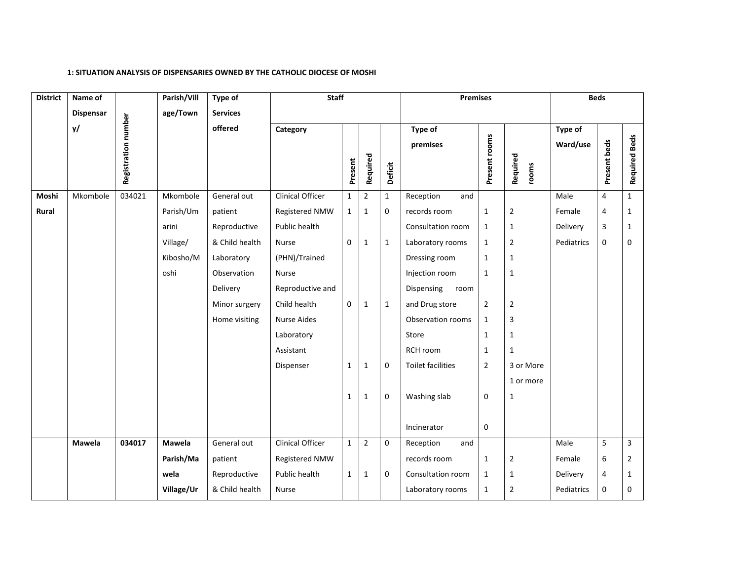## **1: SITUATION ANALYSIS OF DISPENSARIES OWNED BY THE CATHOLIC DIOCESE OF MOSHI**

| <b>District</b> | Name of          |                     | Parish/Vill | Type of         | <b>Staff</b>            |              |                |              | <b>Premises</b>          |                |                |            | <b>Beds</b>    |                         |
|-----------------|------------------|---------------------|-------------|-----------------|-------------------------|--------------|----------------|--------------|--------------------------|----------------|----------------|------------|----------------|-------------------------|
|                 | <b>Dispensar</b> |                     | age/Town    | <b>Services</b> |                         |              |                |              |                          |                |                |            |                |                         |
|                 | y/               |                     |             | offered         | Category                |              |                |              | Type of                  |                |                | Type of    |                |                         |
|                 |                  |                     |             |                 |                         |              |                |              | premises                 |                |                | Ward/use   |                |                         |
|                 |                  | Registration number |             |                 |                         |              | Required       |              |                          | Present rooms  | Required       |            | Present beds   | <b>Required Beds</b>    |
|                 |                  |                     |             |                 |                         | Present      |                | Deficit      |                          |                | rooms          |            |                |                         |
| Moshi           | Mkombole         | 034021              | Mkombole    | General out     | Clinical Officer        | $\mathbf{1}$ | $\overline{2}$ | 1            | Reception<br>and         |                |                | Male       | 4              | $\mathbf{1}$            |
| Rural           |                  |                     | Parish/Um   | patient         | Registered NMW          | $\mathbf{1}$ | $\mathbf{1}$   | $\mathbf 0$  | records room             | $\mathbf{1}$   | $\overline{2}$ | Female     | 4              | $\mathbf{1}$            |
|                 |                  |                     | arini       | Reproductive    | Public health           |              |                |              | Consultation room        | $\mathbf{1}$   | $\mathbf{1}$   | Delivery   | $\overline{3}$ | $\mathbf{1}$            |
|                 |                  |                     | Village/    | & Child health  | Nurse                   | $\mathbf 0$  | $\mathbf{1}$   | $\mathbf{1}$ | Laboratory rooms         | $\mathbf{1}$   | $\overline{2}$ | Pediatrics | 0              | 0                       |
|                 |                  |                     | Kibosho/M   | Laboratory      | (PHN)/Trained           |              |                |              | Dressing room            | $\mathbf{1}$   | $\mathbf 1$    |            |                |                         |
|                 |                  |                     | oshi        | Observation     | Nurse                   |              |                |              | Injection room           | $\mathbf{1}$   | $\mathbf{1}$   |            |                |                         |
|                 |                  |                     |             | Delivery        | Reproductive and        |              |                |              | Dispensing<br>room       |                |                |            |                |                         |
|                 |                  |                     |             | Minor surgery   | Child health            | $\mathbf 0$  | $\mathbf{1}$   | 1            | and Drug store           | $\overline{2}$ | $\overline{2}$ |            |                |                         |
|                 |                  |                     |             | Home visiting   | <b>Nurse Aides</b>      |              |                |              | Observation rooms        | $\mathbf{1}$   | 3              |            |                |                         |
|                 |                  |                     |             |                 | Laboratory              |              |                |              | Store                    | $\mathbf{1}$   | $\mathbf 1$    |            |                |                         |
|                 |                  |                     |             |                 | Assistant               |              |                |              | RCH room                 | $\mathbf 1$    | $\mathbf{1}$   |            |                |                         |
|                 |                  |                     |             |                 | Dispenser               | $\mathbf{1}$ | $\mathbf{1}$   | $\mathbf 0$  | <b>Toilet facilities</b> | $\overline{2}$ | 3 or More      |            |                |                         |
|                 |                  |                     |             |                 |                         |              |                |              |                          |                | 1 or more      |            |                |                         |
|                 |                  |                     |             |                 |                         | $\mathbf{1}$ | $\mathbf{1}$   | 0            | Washing slab             | $\mathbf 0$    | $\mathbf{1}$   |            |                |                         |
|                 |                  |                     |             |                 |                         |              |                |              |                          |                |                |            |                |                         |
|                 |                  |                     |             |                 |                         |              |                |              | Incinerator              | $\pmb{0}$      |                |            |                |                         |
|                 | Mawela           | 034017              | Mawela      | General out     | <b>Clinical Officer</b> | $\mathbf{1}$ | $\mathbf 2$    | $\mathbf 0$  | Reception<br>and         |                |                | Male       | 5              | $\overline{\mathbf{3}}$ |
|                 |                  |                     | Parish/Ma   | patient         | Registered NMW          |              |                |              | records room             | $\mathbf{1}$   | $\overline{2}$ | Female     | 6              | $\overline{2}$          |
|                 |                  |                     | wela        | Reproductive    | Public health           | $\mathbf{1}$ | $\mathbf{1}$   | $\mathbf 0$  | Consultation room        | $\mathbf{1}$   | $\mathbf{1}$   | Delivery   | 4              | 1                       |
|                 |                  |                     | Village/Ur  | & Child health  | Nurse                   |              |                |              | Laboratory rooms         | $\mathbf{1}$   | $\overline{2}$ | Pediatrics | $\mathbf 0$    | 0                       |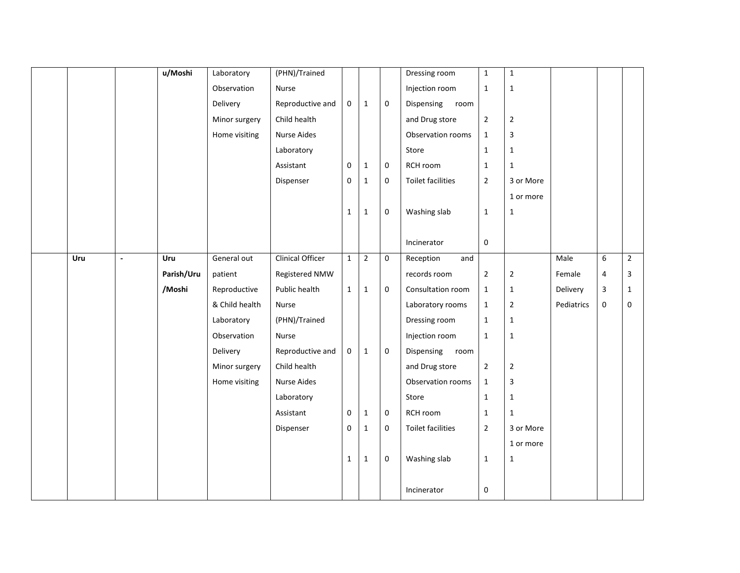|     |                | u/Moshi    | Laboratory     | (PHN)/Trained           |              |              |             | Dressing room            | $\mathbf{1}$   | $\mathbf{1}$   |            |                |                |
|-----|----------------|------------|----------------|-------------------------|--------------|--------------|-------------|--------------------------|----------------|----------------|------------|----------------|----------------|
|     |                |            |                |                         |              |              |             |                          |                |                |            |                |                |
|     |                |            | Observation    | Nurse                   |              |              |             | Injection room           | $\mathbf 1$    | $\mathbf 1$    |            |                |                |
|     |                |            | Delivery       | Reproductive and        | $\mathbf 0$  | $\mathbf{1}$ | $\mathbf 0$ | Dispensing<br>room       |                |                |            |                |                |
|     |                |            | Minor surgery  | Child health            |              |              |             | and Drug store           | $\overline{2}$ | $\overline{2}$ |            |                |                |
|     |                |            | Home visiting  | Nurse Aides             |              |              |             | Observation rooms        | $\mathbf{1}$   | 3              |            |                |                |
|     |                |            |                | Laboratory              |              |              |             | Store                    | $\mathbf 1$    | $\mathbf 1$    |            |                |                |
|     |                |            |                | Assistant               | $\mathbf 0$  | $\mathbf{1}$ | $\mathbf 0$ | RCH room                 | $\mathbf 1$    | $\mathbf{1}$   |            |                |                |
|     |                |            |                | Dispenser               | 0            | $1\,$        | $\mathbf 0$ | <b>Toilet facilities</b> | $\overline{2}$ | 3 or More      |            |                |                |
|     |                |            |                |                         |              |              |             |                          |                | 1 or more      |            |                |                |
|     |                |            |                |                         | $\mathbf{1}$ | $1\,$        | $\mathbf 0$ | Washing slab             | $\mathbf 1$    | $\mathbf{1}$   |            |                |                |
|     |                |            |                |                         |              |              |             |                          |                |                |            |                |                |
|     |                |            |                |                         |              |              |             | Incinerator              | $\mathbf 0$    |                |            |                |                |
| Uru | $\blacksquare$ | Uru        | General out    | <b>Clinical Officer</b> | $\mathbf{1}$ | $\mathbf 2$  | $\mathbf 0$ | Reception<br>and         |                |                | Male       | 6              | $\overline{2}$ |
|     |                | Parish/Uru | patient        | Registered NMW          |              |              |             | records room             | $\mathbf 2$    | $\mathbf 2$    | Female     | $\overline{4}$ | 3              |
|     |                | /Moshi     | Reproductive   | Public health           | $\mathbf{1}$ | $\mathbf{1}$ | $\pmb{0}$   | Consultation room        | $\mathbf 1$    | $\mathbf{1}$   | Delivery   | 3              | $\mathbf{1}$   |
|     |                |            | & Child health | Nurse                   |              |              |             | Laboratory rooms         | $\mathbf{1}$   | $\overline{2}$ | Pediatrics | $\mathbf 0$    | $\mathbf 0$    |
|     |                |            | Laboratory     | (PHN)/Trained           |              |              |             | Dressing room            | $\mathbf{1}$   | $\mathbf{1}$   |            |                |                |
|     |                |            | Observation    | Nurse                   |              |              |             | Injection room           | $\mathbf{1}$   | $\mathbf{1}$   |            |                |                |
|     |                |            | Delivery       | Reproductive and        | 0            | $1\,$        | $\mathbf 0$ | Dispensing room          |                |                |            |                |                |
|     |                |            | Minor surgery  | Child health            |              |              |             | and Drug store           | $\overline{2}$ | $\mathbf{2}$   |            |                |                |
|     |                |            | Home visiting  | <b>Nurse Aides</b>      |              |              |             | Observation rooms        | $\mathbf{1}$   | $\mathbf{3}$   |            |                |                |
|     |                |            |                | Laboratory              |              |              |             | Store                    | $\mathbf{1}$   | $1\,$          |            |                |                |
|     |                |            |                | Assistant               | $\mathbf 0$  | $\mathbf 1$  | $\mathbf 0$ | RCH room                 | $\mathbf 1$    | $\mathbf{1}$   |            |                |                |
|     |                |            |                | Dispenser               | $\mathbf 0$  | $\mathbf 1$  | $\mathbf 0$ | <b>Toilet facilities</b> | $\overline{2}$ | 3 or More      |            |                |                |
|     |                |            |                |                         |              |              |             |                          |                | 1 or more      |            |                |                |
|     |                |            |                |                         | $\mathbf{1}$ | $1\,$        | $\mathbf 0$ | Washing slab             | $\mathbf{1}$   | $\mathbf 1$    |            |                |                |
|     |                |            |                |                         |              |              |             |                          |                |                |            |                |                |
|     |                |            |                |                         |              |              |             | Incinerator              | $\pmb{0}$      |                |            |                |                |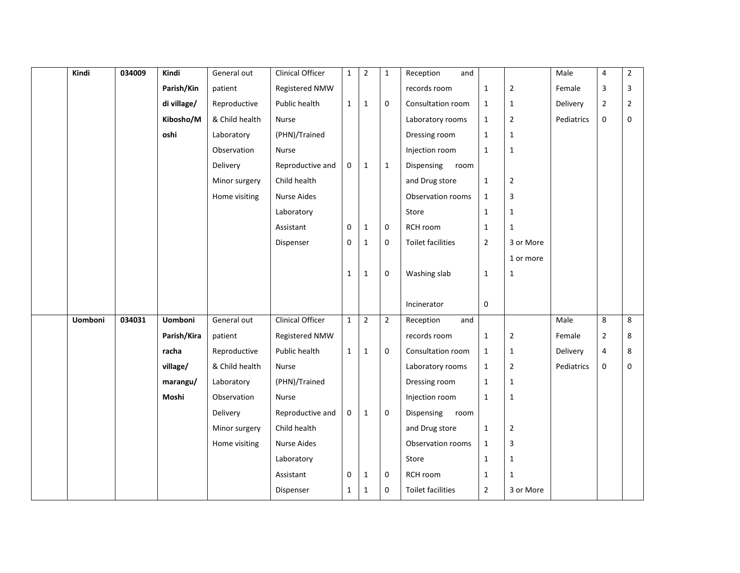| Kindi   | 034009 | Kindi          | General out    | Clinical Officer        | $\mathbf{1}$ | $\mathbf 2$    | $\mathbf{1}$   | Reception<br>and   |                |                | Male       | 4              | $\mathbf 2$  |
|---------|--------|----------------|----------------|-------------------------|--------------|----------------|----------------|--------------------|----------------|----------------|------------|----------------|--------------|
|         |        | Parish/Kin     | patient        | Registered NMW          |              |                |                | records room       | $\mathbf{1}$   | $\overline{2}$ | Female     | $\overline{3}$ | 3            |
|         |        | di village/    | Reproductive   | Public health           | $\mathbf{1}$ | $\mathbf{1}$   | $\mathbf 0$    | Consultation room  | $\mathbf{1}$   | $\mathbf{1}$   | Delivery   | $\mathbf 2$    | $\mathbf{2}$ |
|         |        | Kibosho/M      | & Child health | Nurse                   |              |                |                | Laboratory rooms   | $\mathbf{1}$   | $\overline{2}$ | Pediatrics | $\pmb{0}$      | $\mathbf 0$  |
|         |        | oshi           | Laboratory     | (PHN)/Trained           |              |                |                | Dressing room      | $\mathbf{1}$   | $\mathbf{1}$   |            |                |              |
|         |        |                | Observation    | Nurse                   |              |                |                | Injection room     | $\mathbf{1}$   | $\mathbf 1$    |            |                |              |
|         |        |                | Delivery       | Reproductive and        | 0            | $\mathbf{1}$   | $\mathbf{1}$   | Dispensing<br>room |                |                |            |                |              |
|         |        |                | Minor surgery  | Child health            |              |                |                | and Drug store     | $\mathbf 1$    | $\mathbf 2$    |            |                |              |
|         |        |                | Home visiting  | <b>Nurse Aides</b>      |              |                |                | Observation rooms  | $\mathbf{1}$   | 3              |            |                |              |
|         |        |                |                | Laboratory              |              |                |                | Store              | $\mathbf 1$    | $\mathbf{1}$   |            |                |              |
|         |        |                |                | Assistant               | $\mathbf 0$  | $\mathbf{1}$   | $\mathbf 0$    | RCH room           | $\mathbf{1}$   | $\mathbf{1}$   |            |                |              |
|         |        |                |                | Dispenser               | $\mathbf 0$  | $\mathbf 1$    | $\mathbf 0$    | Toilet facilities  | $\overline{2}$ | 3 or More      |            |                |              |
|         |        |                |                |                         |              |                |                |                    |                | 1 or more      |            |                |              |
|         |        |                |                |                         | $\mathbf{1}$ | $\mathbf{1}$   | 0              | Washing slab       | $\mathbf{1}$   | $\mathbf{1}$   |            |                |              |
|         |        |                |                |                         |              |                |                |                    |                |                |            |                |              |
|         |        |                |                |                         |              |                |                | Incinerator        | $\mathbf 0$    |                |            |                |              |
| Uomboni | 034031 | <b>Uomboni</b> | General out    | <b>Clinical Officer</b> | $\mathbf{1}$ | $\overline{2}$ | $\overline{2}$ | Reception<br>and   |                |                | Male       | $\,8\,$        | 8            |
|         |        | Parish/Kira    | patient        | Registered NMW          |              |                |                | records room       | $\mathbf{1}$   | $\overline{2}$ | Female     | $\overline{2}$ | 8            |
|         |        | racha          | Reproductive   | Public health           | $\mathbf{1}$ | $\mathbf{1}$   | $\mathbf 0$    | Consultation room  | $\mathbf{1}$   | $\mathbf 1$    | Delivery   | $\overline{4}$ | 8            |
|         |        | village/       | & Child health | Nurse                   |              |                |                | Laboratory rooms   | $\mathbf{1}$   | $\overline{2}$ | Pediatrics | $\mathbf 0$    | 0            |
|         |        | marangu/       | Laboratory     | (PHN)/Trained           |              |                |                | Dressing room      | $\mathbf{1}$   | $\mathbf 1$    |            |                |              |
|         |        | Moshi          | Observation    | Nurse                   |              |                |                | Injection room     | $\mathbf{1}$   | $\mathbf{1}$   |            |                |              |
|         |        |                | Delivery       | Reproductive and        | 0            | $\mathbf{1}$   | $\mathbf 0$    | Dispensing<br>room |                |                |            |                |              |
|         |        |                | Minor surgery  | Child health            |              |                |                | and Drug store     | $\mathbf{1}$   | $\overline{2}$ |            |                |              |
|         |        |                | Home visiting  | Nurse Aides             |              |                |                | Observation rooms  | $\mathbf{1}$   | 3              |            |                |              |
|         |        |                |                | Laboratory              |              |                |                | Store              | $\mathbf 1$    | $\mathbf 1$    |            |                |              |
|         |        |                |                | Assistant               | 0            | $\mathbf{1}$   | $\mathbf 0$    | RCH room           | $\mathbf{1}$   | 1              |            |                |              |
|         |        |                |                | Dispenser               | $\mathbf{1}$ | $\mathbf{1}$   | $\mathbf 0$    | Toilet facilities  | $\overline{2}$ | 3 or More      |            |                |              |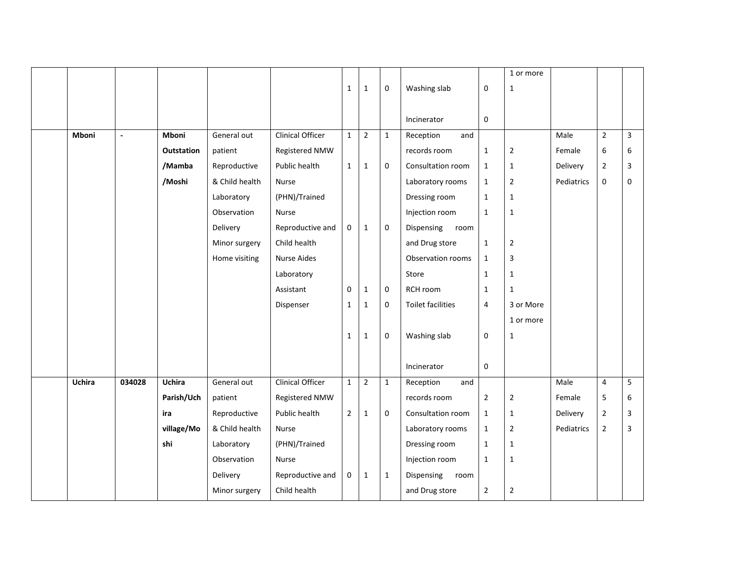|               |                |                   |                |                         |                |                |              |                    |                | 1 or more      |            |                |                |
|---------------|----------------|-------------------|----------------|-------------------------|----------------|----------------|--------------|--------------------|----------------|----------------|------------|----------------|----------------|
|               |                |                   |                |                         | $\mathbf{1}$   | $\mathbf{1}$   | 0            | Washing slab       | 0              | $1\,$          |            |                |                |
|               |                |                   |                |                         |                |                |              | Incinerator        | $\mathbf 0$    |                |            |                |                |
| Mboni         | $\overline{a}$ | <b>Mboni</b>      | General out    | <b>Clinical Officer</b> | $\mathbf{1}$   | $\overline{2}$ | $1\,$        | Reception<br>and   |                |                | Male       | $\overline{2}$ | $\overline{3}$ |
|               |                | <b>Outstation</b> | patient        | Registered NMW          |                |                |              | records room       | $\mathbf 1$    | $\overline{2}$ | Female     | 6              | 6              |
|               |                | /Mamba            | Reproductive   | Public health           | $\mathbf{1}$   | $\mathbf{1}$   | 0            | Consultation room  | $\mathbf{1}$   | $\mathbf{1}$   | Delivery   | $\overline{2}$ | 3              |
|               |                | /Moshi            | & Child health | Nurse                   |                |                |              | Laboratory rooms   | $\mathbf{1}$   | $\overline{2}$ | Pediatrics | $\pmb{0}$      | $\mathbf 0$    |
|               |                |                   | Laboratory     | (PHN)/Trained           |                |                |              | Dressing room      | $\mathbf{1}$   | $\mathbf{1}$   |            |                |                |
|               |                |                   | Observation    | Nurse                   |                |                |              | Injection room     | $\mathbf{1}$   | $\mathbf{1}$   |            |                |                |
|               |                |                   | Delivery       | Reproductive and        | $\mathbf 0$    | $\mathbf{1}$   | $\mathbf 0$  | Dispensing room    |                |                |            |                |                |
|               |                |                   | Minor surgery  | Child health            |                |                |              | and Drug store     | $\mathbf{1}$   | $\overline{2}$ |            |                |                |
|               |                |                   | Home visiting  | <b>Nurse Aides</b>      |                |                |              | Observation rooms  | $\mathbf{1}$   | 3              |            |                |                |
|               |                |                   |                | Laboratory              |                |                |              | Store              | $\mathbf 1$    | $1\,$          |            |                |                |
|               |                |                   |                | Assistant               | $\mathbf{0}$   | $\mathbf{1}$   | $\mathbf{0}$ | RCH room           | $\mathbf{1}$   | $\mathbf{1}$   |            |                |                |
|               |                |                   |                | Dispenser               | $\mathbf{1}$   | $\mathbf{1}$   | $\mathbf 0$  | Toilet facilities  | 4              | 3 or More      |            |                |                |
|               |                |                   |                |                         |                |                |              |                    |                | 1 or more      |            |                |                |
|               |                |                   |                |                         | $\mathbf{1}$   | $\mathbf{1}$   | $\mathbf 0$  | Washing slab       | 0              | $\mathbf{1}$   |            |                |                |
|               |                |                   |                |                         |                |                |              |                    |                |                |            |                |                |
|               |                |                   |                |                         |                |                |              | Incinerator        | 0              |                |            |                |                |
| <b>Uchira</b> | 034028         | <b>Uchira</b>     | General out    | <b>Clinical Officer</b> | $\mathbf{1}$   | $\overline{2}$ | $\mathbf{1}$ | Reception<br>and   |                |                | Male       | $\overline{4}$ | 5              |
|               |                | Parish/Uch        | patient        | Registered NMW          |                |                |              | records room       | $\mathbf 2$    | $\overline{2}$ | Female     | 5              | 6              |
|               |                | ira               | Reproductive   | Public health           | $\overline{2}$ | $\mathbf{1}$   | $\mathbf 0$  | Consultation room  | $\mathbf{1}$   | $\mathbf{1}$   | Delivery   | $\overline{2}$ | 3              |
|               |                | village/Mo        | & Child health | Nurse                   |                |                |              | Laboratory rooms   | $\mathbf{1}$   | $\overline{2}$ | Pediatrics | $\overline{2}$ | 3              |
|               |                | shi               | Laboratory     | (PHN)/Trained           |                |                |              | Dressing room      | $\mathbf 1$    | $\mathbf 1$    |            |                |                |
|               |                |                   | Observation    | Nurse                   |                |                |              | Injection room     | $\mathbf{1}$   | $\mathbf{1}$   |            |                |                |
|               |                |                   | Delivery       | Reproductive and        | $\mathbf 0$    | $\mathbf{1}$   | $\mathbf{1}$ | Dispensing<br>room |                |                |            |                |                |
|               |                |                   | Minor surgery  | Child health            |                |                |              | and Drug store     | $\overline{2}$ | $\mathbf 2$    |            |                |                |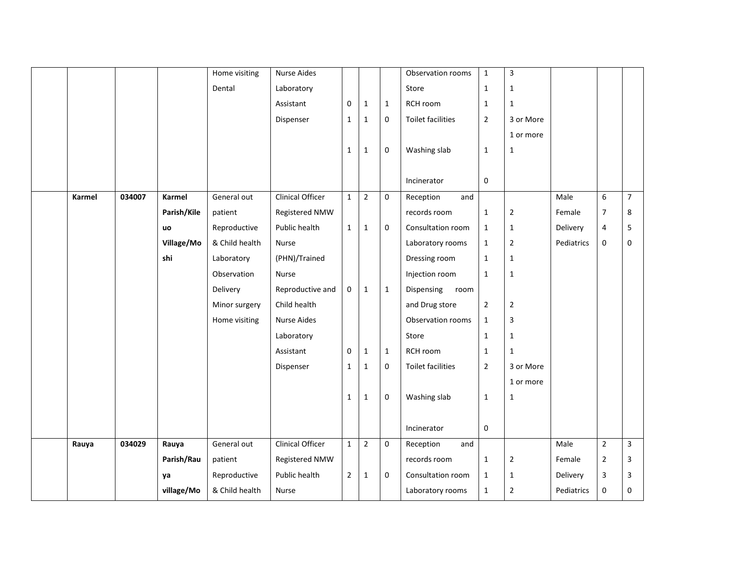|        |        |               | Home visiting  | <b>Nurse Aides</b>      |                |                |              | Observation rooms        | $\mathbf{1}$   | $\overline{3}$ |            |                |                |
|--------|--------|---------------|----------------|-------------------------|----------------|----------------|--------------|--------------------------|----------------|----------------|------------|----------------|----------------|
|        |        |               | Dental         | Laboratory              |                |                |              | Store                    | $1\,$          | $\mathbf{1}$   |            |                |                |
|        |        |               |                | Assistant               | $\mathbf 0$    | $\mathbf{1}$   | $\mathbf{1}$ | RCH room                 | $\mathbf{1}$   | 1              |            |                |                |
|        |        |               |                | Dispenser               | $\mathbf{1}$   | $1\,$          | $\mathbf 0$  | <b>Toilet facilities</b> | $\overline{2}$ | 3 or More      |            |                |                |
|        |        |               |                |                         |                |                |              |                          |                | 1 or more      |            |                |                |
|        |        |               |                |                         | $\mathbf{1}$   | $\mathbf{1}$   | 0            | Washing slab             | $\mathbf{1}$   | 1              |            |                |                |
|        |        |               |                |                         |                |                |              |                          |                |                |            |                |                |
|        |        |               |                |                         |                |                |              | Incinerator              | $\mathbf{0}$   |                |            |                |                |
| Karmel | 034007 | <b>Karmel</b> | General out    | <b>Clinical Officer</b> | $\mathbf{1}$   | $\overline{2}$ | 0            | Reception<br>and         |                |                | Male       | 6              | $\overline{7}$ |
|        |        | Parish/Kile   | patient        | Registered NMW          |                |                |              | records room             | $\mathbf{1}$   | $\overline{2}$ | Female     | $\overline{7}$ | 8              |
|        |        | uo            | Reproductive   | Public health           | $\mathbf{1}$   | $\mathbf{1}$   | $\mathbf 0$  | Consultation room        | $\mathbf{1}$   | $\mathbf{1}$   | Delivery   | 4              | 5              |
|        |        | Village/Mo    | & Child health | Nurse                   |                |                |              | Laboratory rooms         | $\mathbf{1}$   | $\overline{2}$ | Pediatrics | 0              | 0              |
|        |        | shi           | Laboratory     | (PHN)/Trained           |                |                |              | Dressing room            | $\mathbf{1}$   | $\mathbf{1}$   |            |                |                |
|        |        |               | Observation    | Nurse                   |                |                |              | Injection room           | $\mathbf{1}$   | $\mathbf 1$    |            |                |                |
|        |        |               | Delivery       | Reproductive and        | $\mathbf 0$    | $\mathbf{1}$   | $\mathbf{1}$ | Dispensing<br>room       |                |                |            |                |                |
|        |        |               | Minor surgery  | Child health            |                |                |              | and Drug store           | $\overline{2}$ | $\overline{2}$ |            |                |                |
|        |        |               | Home visiting  | Nurse Aides             |                |                |              | Observation rooms        | $1\,$          | 3              |            |                |                |
|        |        |               |                | Laboratory              |                |                |              | Store                    | $\mathbf{1}$   | $\mathbf{1}$   |            |                |                |
|        |        |               |                | Assistant               | $\mathbf 0$    | $\mathbf{1}$   | $\mathbf{1}$ | RCH room                 | $\mathbf{1}$   | 1              |            |                |                |
|        |        |               |                | Dispenser               | $\mathbf 1$    | $\mathbf 1$    | 0            | <b>Toilet facilities</b> | $\overline{2}$ | 3 or More      |            |                |                |
|        |        |               |                |                         |                |                |              |                          |                | 1 or more      |            |                |                |
|        |        |               |                |                         | $\mathbf{1}$   | $1\,$          | 0            | Washing slab             | $\mathbf{1}$   | $\mathbf{1}$   |            |                |                |
|        |        |               |                |                         |                |                |              |                          |                |                |            |                |                |
|        |        |               |                |                         |                |                |              | Incinerator              | 0              |                |            |                |                |
| Rauya  | 034029 | Rauya         | General out    | Clinical Officer        | $\mathbf{1}$   | $\overline{2}$ | $\mathbf 0$  | Reception<br>and         |                |                | Male       | $\overline{2}$ | $\overline{3}$ |
|        |        | Parish/Rau    | patient        | Registered NMW          |                |                |              | records room             | $\mathbf{1}$   | $\overline{2}$ | Female     | $\overline{2}$ | 3              |
|        |        | ya            | Reproductive   | Public health           | $\overline{2}$ | $\mathbf{1}$   | 0            | Consultation room        | $\mathbf{1}$   | $\mathbf{1}$   | Delivery   | 3              | 3              |
|        |        | village/Mo    | & Child health | Nurse                   |                |                |              | Laboratory rooms         | $\mathbf{1}$   | $\overline{2}$ | Pediatrics | 0              | 0              |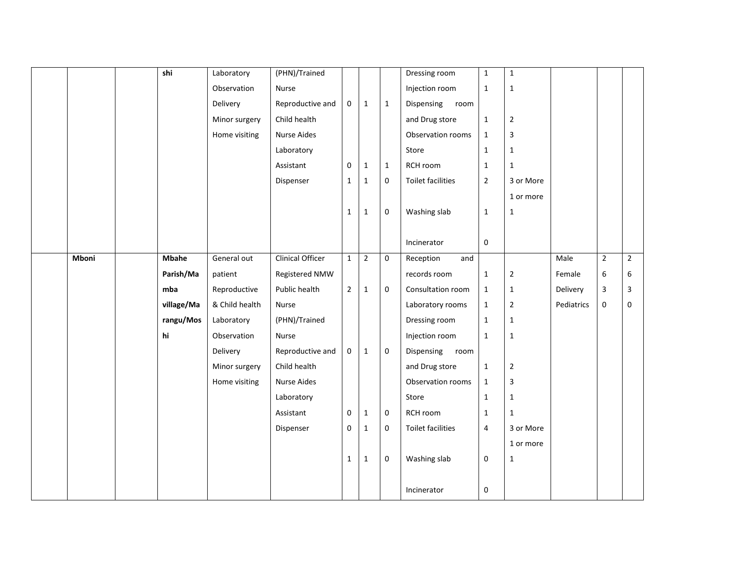|       | shi          | Laboratory     | (PHN)/Trained           |                |                |              | Dressing room      | $\mathbf 1$      | $\mathbf 1$    |            |                |                |
|-------|--------------|----------------|-------------------------|----------------|----------------|--------------|--------------------|------------------|----------------|------------|----------------|----------------|
|       |              | Observation    | Nurse                   |                |                |              | Injection room     | $\mathbf{1}$     | $\mathbf 1$    |            |                |                |
|       |              | Delivery       | Reproductive and        | $\mathbf 0$    | $\mathbf{1}$   | $\mathbf{1}$ | Dispensing<br>room |                  |                |            |                |                |
|       |              | Minor surgery  | Child health            |                |                |              | and Drug store     | $\mathbf 1$      | $\mathbf 2$    |            |                |                |
|       |              | Home visiting  | Nurse Aides             |                |                |              | Observation rooms  | $\mathbf{1}$     | $\mathbf{3}$   |            |                |                |
|       |              |                | Laboratory              |                |                |              | Store              | $\mathbf{1}$     | $\mathbf{1}$   |            |                |                |
|       |              |                | Assistant               | $\mathbf 0$    | $\mathbf{1}$   | $\mathbf{1}$ | RCH room           | $\mathbf{1}$     | $\mathbf{1}$   |            |                |                |
|       |              |                | Dispenser               | $\mathbf{1}$   | $\mathbf{1}$   | $\mathbf 0$  | Toilet facilities  | $\overline{2}$   | 3 or More      |            |                |                |
|       |              |                |                         |                |                |              |                    |                  | 1 or more      |            |                |                |
|       |              |                |                         | $\mathbf{1}$   | $\mathbf{1}$   | $\mathbf 0$  | Washing slab       | $\mathbf{1}$     | $\mathbf{1}$   |            |                |                |
|       |              |                |                         |                |                |              |                    |                  |                |            |                |                |
|       |              |                |                         |                |                |              | Incinerator        | $\boldsymbol{0}$ |                |            |                |                |
| Mboni | <b>Mbahe</b> | General out    | <b>Clinical Officer</b> | $\mathbf{1}$   | $\overline{2}$ | $\mathbf 0$  | Reception<br>and   |                  |                | Male       | $\overline{2}$ | $\overline{2}$ |
|       | Parish/Ma    | patient        | Registered NMW          |                |                |              | records room       | $\mathbf{1}$     | $\mathbf 2$    | Female     | 6              | 6              |
|       | mba          | Reproductive   | Public health           | $\overline{2}$ | $\mathbf{1}$   | $\mathbf 0$  | Consultation room  | $\mathbf{1}$     | $\mathbf{1}$   | Delivery   | 3              | 3              |
|       | village/Ma   | & Child health | Nurse                   |                |                |              | Laboratory rooms   | $\mathbf{1}$     | $\overline{2}$ | Pediatrics | 0              | 0              |
|       | rangu/Mos    | Laboratory     | (PHN)/Trained           |                |                |              | Dressing room      | $\mathbf{1}$     | $\mathbf{1}$   |            |                |                |
|       | hi           | Observation    | Nurse                   |                |                |              | Injection room     | $\mathbf{1}$     | $\mathbf{1}$   |            |                |                |
|       |              | Delivery       | Reproductive and        | $\mathbf 0$    | $\mathbf{1}$   | $\mathbf 0$  | Dispensing<br>room |                  |                |            |                |                |
|       |              | Minor surgery  | Child health            |                |                |              | and Drug store     | $\mathbf 1$      | $\mathbf 2$    |            |                |                |
|       |              | Home visiting  | <b>Nurse Aides</b>      |                |                |              | Observation rooms  | $\mathbf{1}$     | $\mathbf{3}$   |            |                |                |
|       |              |                | Laboratory              |                |                |              | Store              | $\mathbf{1}$     | $\mathbf{1}$   |            |                |                |
|       |              |                | Assistant               | $\mathbf 0$    | $\mathbf{1}$   | $\mathbf 0$  | RCH room           | $\mathbf{1}$     | $\mathbf{1}$   |            |                |                |
|       |              |                | Dispenser               | $\mathbf 0$    | $\mathbf{1}$   | $\mathbf 0$  | Toilet facilities  | 4                | 3 or More      |            |                |                |
|       |              |                |                         |                |                |              |                    |                  | 1 or more      |            |                |                |
|       |              |                |                         | $\mathbf{1}$   | $\mathbf{1}$   | $\mathbf 0$  | Washing slab       | 0                | $\mathbf 1$    |            |                |                |
|       |              |                |                         |                |                |              |                    |                  |                |            |                |                |
|       |              |                |                         |                |                |              | Incinerator        | 0                |                |            |                |                |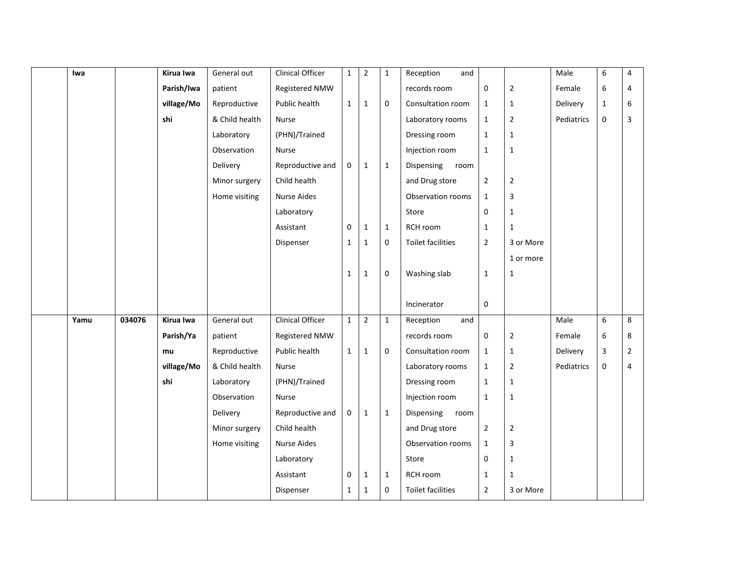| Iwa  |        | Kirua Iwa  | General out    | Clinical Officer        | $\mathbf{1}$ | $\overline{2}$ | $\mathbf{1}$ | Reception<br>and         |                  |                | Male       | 6                | 4              |
|------|--------|------------|----------------|-------------------------|--------------|----------------|--------------|--------------------------|------------------|----------------|------------|------------------|----------------|
|      |        | Parish/Iwa | patient        | Registered NMW          |              |                |              | records room             | 0                | $\overline{2}$ | Female     | 6                | 4              |
|      |        | village/Mo | Reproductive   | Public health           | $\mathbf{1}$ | $\mathbf 1$    | $\mathbf 0$  | Consultation room        | $\mathbf{1}$     | $\mathbf{1}$   | Delivery   | $\mathbf{1}$     | 6              |
|      |        | shi        | & Child health | Nurse                   |              |                |              | Laboratory rooms         | $\mathbf{1}$     | $\overline{2}$ | Pediatrics | 0                | 3              |
|      |        |            | Laboratory     | (PHN)/Trained           |              |                |              | Dressing room            | $\mathbf 1$      | $\mathbf{1}$   |            |                  |                |
|      |        |            | Observation    | Nurse                   |              |                |              | Injection room           | $\mathbf{1}$     | $\mathbf{1}$   |            |                  |                |
|      |        |            | Delivery       | Reproductive and        | 0            | $\mathbf 1$    | $\mathbf{1}$ | Dispensing<br>room       |                  |                |            |                  |                |
|      |        |            | Minor surgery  | Child health            |              |                |              | and Drug store           | $\overline{2}$   | $\overline{2}$ |            |                  |                |
|      |        |            | Home visiting  | Nurse Aides             |              |                |              | Observation rooms        | $\mathbf 1$      | 3              |            |                  |                |
|      |        |            |                | Laboratory              |              |                |              | Store                    | $\mathbf 0$      | $\mathbf{1}$   |            |                  |                |
|      |        |            |                | Assistant               | 0            | $\mathbf{1}$   | $\mathbf{1}$ | RCH room                 | $\mathbf 1$      | $\mathbf{1}$   |            |                  |                |
|      |        |            |                | Dispenser               | 1            | $\mathbf{1}$   | $\mathbf 0$  | <b>Toilet facilities</b> | $\overline{2}$   | 3 or More      |            |                  |                |
|      |        |            |                |                         |              |                |              |                          |                  | 1 or more      |            |                  |                |
|      |        |            |                |                         | $\mathbf{1}$ |                | $\mathbf 0$  |                          |                  |                |            |                  |                |
|      |        |            |                |                         |              | $\mathbf{1}$   |              | Washing slab             | $\mathbf{1}$     | $\mathbf{1}$   |            |                  |                |
|      |        |            |                |                         |              |                |              |                          |                  |                |            |                  |                |
|      |        |            |                |                         |              |                |              | Incinerator              | 0                |                |            |                  |                |
| Yamu | 034076 | Kirua Iwa  | General out    | <b>Clinical Officer</b> | $\mathbf{1}$ | $\overline{2}$ | $\mathbf{1}$ | Reception<br>and         |                  |                | Male       | 6                | 8              |
|      |        | Parish/Ya  | patient        | Registered NMW          |              |                |              | records room             | $\boldsymbol{0}$ | $\overline{2}$ | Female     | $\,6\,$          | 8              |
|      |        | mu         | Reproductive   | Public health           | 1            | $\mathbf{1}$   | $\mathbf{0}$ | Consultation room        | $\mathbf 1$      | $\mathbf{1}$   | Delivery   | $\mathsf 3$      | $\overline{2}$ |
|      |        | village/Mo | & Child health | Nurse                   |              |                |              | Laboratory rooms         | $\mathbf{1}$     | $\overline{2}$ | Pediatrics | $\boldsymbol{0}$ | 4              |
|      |        | shi        | Laboratory     | (PHN)/Trained           |              |                |              | Dressing room            | $\mathbf{1}$     | $\mathbf{1}$   |            |                  |                |
|      |        |            | Observation    | Nurse                   |              |                |              | Injection room           | $\mathbf{1}$     | $\mathbf 1$    |            |                  |                |
|      |        |            | Delivery       | Reproductive and        | 0            | $\mathbf{1}$   | $\mathbf{1}$ | Dispensing<br>room       |                  |                |            |                  |                |
|      |        |            | Minor surgery  | Child health            |              |                |              | and Drug store           | $\overline{2}$   | $\overline{2}$ |            |                  |                |
|      |        |            | Home visiting  | <b>Nurse Aides</b>      |              |                |              | Observation rooms        | $\mathbf{1}$     | 3              |            |                  |                |
|      |        |            |                | Laboratory              |              |                |              | Store                    | 0                | $\mathbf 1$    |            |                  |                |
|      |        |            |                | Assistant               | 0            | $\mathbf{1}$   | $\mathbf{1}$ | RCH room                 | $\mathbf{1}$     | $\mathbf{1}$   |            |                  |                |
|      |        |            |                | Dispenser               | 1            | $\mathbf{1}$   | $\mathbf 0$  | <b>Toilet facilities</b> | $\overline{2}$   | 3 or More      |            |                  |                |
|      |        |            |                |                         |              |                |              |                          |                  |                |            |                  |                |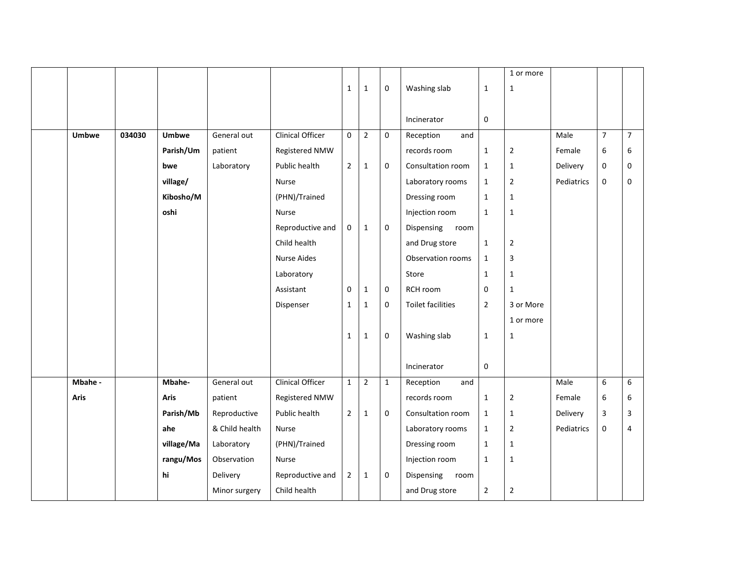|              |        |              |                |                         |                |                |              |                    |                  | 1 or more      |            |                |                |
|--------------|--------|--------------|----------------|-------------------------|----------------|----------------|--------------|--------------------|------------------|----------------|------------|----------------|----------------|
|              |        |              |                |                         | $\mathbf{1}$   | $\mathbf{1}$   | 0            | Washing slab       | $\mathbf{1}$     | $1\,$          |            |                |                |
|              |        |              |                |                         |                |                |              | Incinerator        | $\mathbf 0$      |                |            |                |                |
| <b>Umbwe</b> | 034030 | <b>Umbwe</b> | General out    | <b>Clinical Officer</b> | $\mathbf 0$    | $\overline{2}$ | $\mathbf{0}$ | Reception<br>and   |                  |                | Male       | $\overline{7}$ | $\overline{7}$ |
|              |        | Parish/Um    | patient        | Registered NMW          |                |                |              | records room       | $\mathbf{1}$     | $\overline{2}$ | Female     | 6              | 6              |
|              |        | bwe          | Laboratory     | Public health           | $\overline{2}$ | $\mathbf{1}$   | 0            | Consultation room  | $\mathbf 1$      | $1\,$          | Delivery   | $\pmb{0}$      | $\mathbf 0$    |
|              |        | village/     |                | Nurse                   |                |                |              | Laboratory rooms   | $\mathbf{1}$     | $\overline{2}$ | Pediatrics | $\pmb{0}$      | $\mathbf 0$    |
|              |        | Kibosho/M    |                | (PHN)/Trained           |                |                |              | Dressing room      | $\mathbf{1}$     | $\mathbf{1}$   |            |                |                |
|              |        | oshi         |                | Nurse                   |                |                |              | Injection room     | $\mathbf{1}$     | $\mathbf{1}$   |            |                |                |
|              |        |              |                | Reproductive and        | $\mathbf 0$    | $\mathbf{1}$   | $\mathbf 0$  | Dispensing room    |                  |                |            |                |                |
|              |        |              |                | Child health            |                |                |              | and Drug store     | $\mathbf{1}$     | $\overline{2}$ |            |                |                |
|              |        |              |                | <b>Nurse Aides</b>      |                |                |              | Observation rooms  | $\mathbf{1}$     | $\overline{3}$ |            |                |                |
|              |        |              |                | Laboratory              |                |                |              | Store              | $\mathbf 1$      | $1\,$          |            |                |                |
|              |        |              |                | Assistant               | $\mathbf{0}$   | $\mathbf{1}$   | $\mathbf 0$  | RCH room           | 0                | $\mathbf{1}$   |            |                |                |
|              |        |              |                | Dispenser               | $\mathbf{1}$   | $\mathbf{1}$   | $\mathbf 0$  | Toilet facilities  | $\overline{2}$   | 3 or More      |            |                |                |
|              |        |              |                |                         |                |                |              |                    |                  | 1 or more      |            |                |                |
|              |        |              |                |                         | $\mathbf{1}$   | $\mathbf{1}$   | $\mathbf 0$  | Washing slab       | $\mathbf{1}$     | $\mathbf{1}$   |            |                |                |
|              |        |              |                |                         |                |                |              |                    |                  |                |            |                |                |
|              |        |              |                |                         |                |                |              | Incinerator        | $\boldsymbol{0}$ |                |            |                |                |
| Mbahe -      |        | Mbahe-       | General out    | <b>Clinical Officer</b> | $\mathbf{1}$   | $\overline{2}$ | $\mathbf{1}$ | Reception<br>and   |                  |                | Male       | 6              | 6              |
| Aris         |        | <b>Aris</b>  | patient        | Registered NMW          |                |                |              | records room       | $\mathbf{1}$     | $\overline{2}$ | Female     | 6              | 6              |
|              |        | Parish/Mb    | Reproductive   | Public health           | $\overline{2}$ | $\mathbf{1}$   | $\mathbf 0$  | Consultation room  | $\mathbf{1}$     | $\mathbf{1}$   | Delivery   | 3              | 3              |
|              |        | ahe          | & Child health | Nurse                   |                |                |              | Laboratory rooms   | $\mathbf{1}$     | $\overline{2}$ | Pediatrics | $\pmb{0}$      | $\overline{4}$ |
|              |        | village/Ma   | Laboratory     | (PHN)/Trained           |                |                |              | Dressing room      | $\mathbf 1$      | $\mathbf 1$    |            |                |                |
|              |        | rangu/Mos    | Observation    | Nurse                   |                |                |              | Injection room     | $\mathbf{1}$     | $\mathbf{1}$   |            |                |                |
|              |        | hi           | Delivery       | Reproductive and        | $\overline{2}$ | $\mathbf{1}$   | 0            | Dispensing<br>room |                  |                |            |                |                |
|              |        |              | Minor surgery  | Child health            |                |                |              | and Drug store     | $\overline{2}$   | $\mathbf 2$    |            |                |                |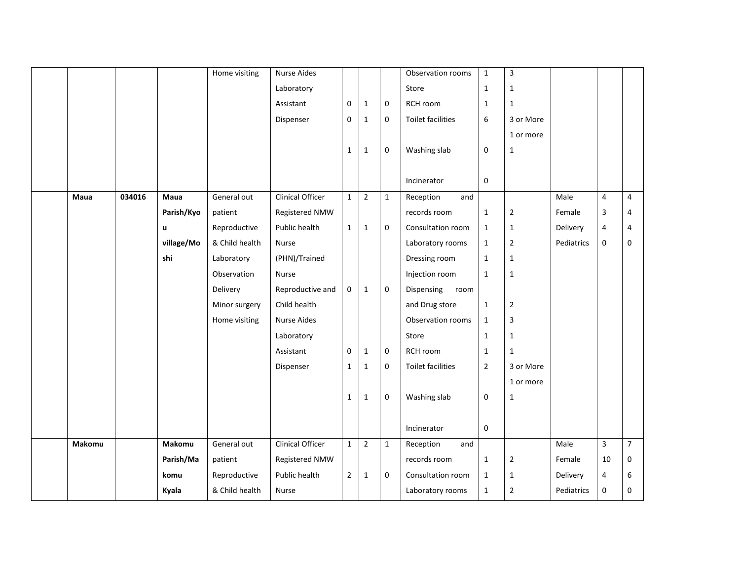|        |        |            | Home visiting  | <b>Nurse Aides</b>      |                |                |              | Observation rooms        | $\mathbf{1}$   | $\overline{3}$ |            |                         |                |
|--------|--------|------------|----------------|-------------------------|----------------|----------------|--------------|--------------------------|----------------|----------------|------------|-------------------------|----------------|
|        |        |            |                | Laboratory              |                |                |              | Store                    | $\mathbf 1$    | $\mathbf 1$    |            |                         |                |
|        |        |            |                | Assistant               | $\mathbf 0$    | $\mathbf{1}$   | $\mathbf 0$  | RCH room                 | $\mathbf{1}$   | 1              |            |                         |                |
|        |        |            |                | Dispenser               | $\mathbf 0$    | $\mathbf{1}$   | $\mathbf 0$  | <b>Toilet facilities</b> | 6              | 3 or More      |            |                         |                |
|        |        |            |                |                         |                |                |              |                          |                | 1 or more      |            |                         |                |
|        |        |            |                |                         | 1              | $\mathbf{1}$   | 0            | Washing slab             | $\mathbf 0$    | $\mathbf{1}$   |            |                         |                |
|        |        |            |                |                         |                |                |              |                          |                |                |            |                         |                |
|        |        |            |                |                         |                |                |              | Incinerator              | $\mathbf 0$    |                |            |                         |                |
| Maua   | 034016 | Maua       | General out    | <b>Clinical Officer</b> | $\mathbf{1}$   | $\overline{2}$ | $\mathbf{1}$ | Reception<br>and         |                |                | Male       | 4                       | $\overline{4}$ |
|        |        | Parish/Kyo | patient        | Registered NMW          |                |                |              | records room             | $\mathbf 1$    | $\overline{2}$ | Female     | 3                       | 4              |
|        |        | u          | Reproductive   | Public health           | $\mathbf{1}$   | $\mathbf{1}$   | $\mathbf 0$  | Consultation room        | $\mathbf{1}$   | $\mathbf{1}$   | Delivery   | 4                       | 4              |
|        |        | village/Mo | & Child health | Nurse                   |                |                |              | Laboratory rooms         | $\mathbf{1}$   | $\overline{2}$ | Pediatrics | 0                       | 0              |
|        |        | shi        | Laboratory     | (PHN)/Trained           |                |                |              | Dressing room            | $\mathbf 1$    | $\mathbf{1}$   |            |                         |                |
|        |        |            | Observation    | Nurse                   |                |                |              | Injection room           | $\mathbf{1}$   | $\mathbf 1$    |            |                         |                |
|        |        |            | Delivery       | Reproductive and        | 0              | $\mathbf{1}$   | $\mathbf 0$  | Dispensing<br>room       |                |                |            |                         |                |
|        |        |            | Minor surgery  | Child health            |                |                |              | and Drug store           | $\mathbf{1}$   | $\overline{2}$ |            |                         |                |
|        |        |            | Home visiting  | <b>Nurse Aides</b>      |                |                |              | Observation rooms        | $\mathbf 1$    | 3              |            |                         |                |
|        |        |            |                | Laboratory              |                |                |              | Store                    | $\mathbf 1$    | $\mathbf{1}$   |            |                         |                |
|        |        |            |                | Assistant               | $\mathbf 0$    | $\mathbf{1}$   | $\mathbf 0$  | RCH room                 | $\mathbf{1}$   | 1              |            |                         |                |
|        |        |            |                | Dispenser               | $\mathbf{1}$   | $\mathbf 1$    | $\mathbf 0$  | <b>Toilet facilities</b> | $\overline{2}$ | 3 or More      |            |                         |                |
|        |        |            |                |                         |                |                |              |                          |                | 1 or more      |            |                         |                |
|        |        |            |                |                         | $\mathbf{1}$   | $\mathbf{1}$   | $\mathbf 0$  | Washing slab             | 0              | $\mathbf{1}$   |            |                         |                |
|        |        |            |                |                         |                |                |              |                          |                |                |            |                         |                |
|        |        |            |                |                         |                |                |              | Incinerator              | $\pmb{0}$      |                |            |                         |                |
| Makomu |        | Makomu     | General out    | <b>Clinical Officer</b> | $\mathbf{1}$   | $\overline{2}$ | $\mathbf{1}$ | Reception<br>and         |                |                | Male       | $\overline{\mathbf{3}}$ | $\overline{7}$ |
|        |        | Parish/Ma  | patient        | Registered NMW          |                |                |              | records room             | $\mathbf 1$    | $\overline{2}$ | Female     | 10                      | 0              |
|        |        | komu       | Reproductive   | Public health           | $\overline{2}$ | $\mathbf{1}$   | $\mathbf 0$  | Consultation room        | $\mathbf{1}$   | $\mathbf{1}$   | Delivery   | 4                       | 6              |
|        |        | Kyala      | & Child health | Nurse                   |                |                |              | Laboratory rooms         | $\mathbf{1}$   | $\overline{2}$ | Pediatrics | 0                       | 0              |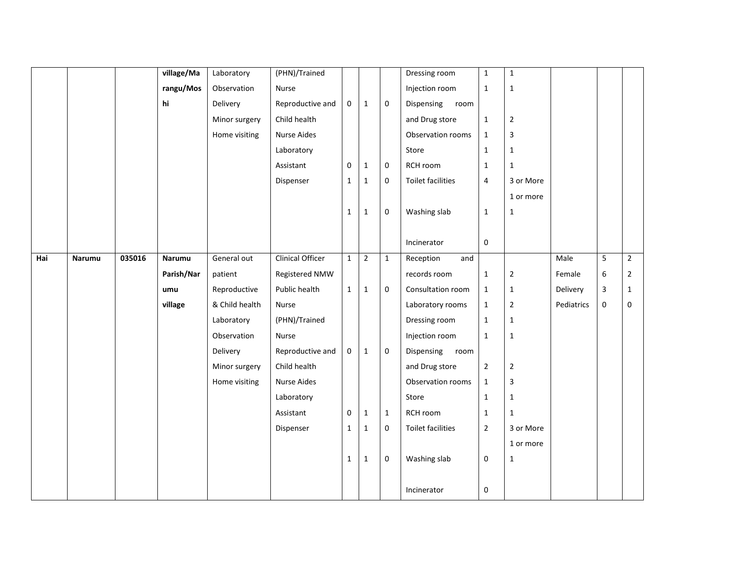|     |        |        | village/Ma | Laboratory     | (PHN)/Trained           |              |              |             | Dressing room            | $\mathbf 1$    | $\mathbf{1}$   |            |   |                |
|-----|--------|--------|------------|----------------|-------------------------|--------------|--------------|-------------|--------------------------|----------------|----------------|------------|---|----------------|
|     |        |        | rangu/Mos  | Observation    | Nurse                   |              |              |             | Injection room           | $\mathbf 1$    | $\mathbf 1$    |            |   |                |
|     |        |        | hi         | Delivery       | Reproductive and        | 0            | $\mathbf{1}$ | $\pmb{0}$   | Dispensing<br>room       |                |                |            |   |                |
|     |        |        |            | Minor surgery  | Child health            |              |              |             | and Drug store           | $\mathbf 1$    | $\overline{2}$ |            |   |                |
|     |        |        |            | Home visiting  | <b>Nurse Aides</b>      |              |              |             | Observation rooms        | $\mathbf{1}$   | 3              |            |   |                |
|     |        |        |            |                | Laboratory              |              |              |             | Store                    | $\mathbf 1$    | $\mathbf{1}$   |            |   |                |
|     |        |        |            |                | Assistant               | $\mathbf 0$  | $\mathbf{1}$ | 0           | RCH room                 | $\mathbf 1$    | $\mathbf{1}$   |            |   |                |
|     |        |        |            |                | Dispenser               | $\mathbf{1}$ | $\mathbf{1}$ | $\pmb{0}$   | <b>Toilet facilities</b> | $\overline{4}$ | 3 or More      |            |   |                |
|     |        |        |            |                |                         |              |              |             |                          |                | 1 or more      |            |   |                |
|     |        |        |            |                |                         | $\mathbf{1}$ | $\mathbf{1}$ | $\pmb{0}$   | Washing slab             | $\mathbf 1$    | $\mathbf{1}$   |            |   |                |
|     |        |        |            |                |                         |              |              |             |                          |                |                |            |   |                |
|     |        |        |            |                |                         |              |              |             | Incinerator              | $\pmb{0}$      |                |            |   |                |
| Hai | Narumu | 035016 | Narumu     | General out    | <b>Clinical Officer</b> | $\mathbf{1}$ | $\mathbf 2$  | $\mathbf 1$ | Reception<br>and         |                |                | Male       | 5 | $\overline{2}$ |
|     |        |        | Parish/Nar | patient        | Registered NMW          |              |              |             | records room             | $\mathbf 1$    | $\overline{2}$ | Female     | 6 | $\mathbf{2}$   |
|     |        |        | umu        | Reproductive   | Public health           | $\mathbf{1}$ | $\mathbf{1}$ | $\pmb{0}$   | Consultation room        | $\mathbf 1$    | $\mathbf{1}$   | Delivery   | 3 | $\mathbf{1}$   |
|     |        |        | village    | & Child health | Nurse                   |              |              |             | Laboratory rooms         | $\mathbf 1$    | $\overline{2}$ | Pediatrics | 0 | $\mathbf{0}$   |
|     |        |        |            | Laboratory     | (PHN)/Trained           |              |              |             | Dressing room            | $\mathbf{1}$   | $\mathbf{1}$   |            |   |                |
|     |        |        |            | Observation    | Nurse                   |              |              |             | Injection room           | $\mathbf{1}$   | $\mathbf{1}$   |            |   |                |
|     |        |        |            | Delivery       | Reproductive and        | 0            | $\mathbf{1}$ | $\mathbf 0$ | Dispensing<br>room       |                |                |            |   |                |
|     |        |        |            | Minor surgery  | Child health            |              |              |             | and Drug store           | $\mathbf 2$    | $\overline{2}$ |            |   |                |
|     |        |        |            | Home visiting  | Nurse Aides             |              |              |             | Observation rooms        | $\mathbf{1}$   | 3              |            |   |                |
|     |        |        |            |                | Laboratory              |              |              |             | Store                    | $\mathbf 1$    | $\mathbf 1$    |            |   |                |
|     |        |        |            |                | Assistant               | 0            | $\mathbf{1}$ | $1\,$       | RCH room                 | $\mathbf 1$    | $\mathbf{1}$   |            |   |                |
|     |        |        |            |                | Dispenser               | $\mathbf{1}$ | $\mathbf{1}$ | $\mathbf 0$ | <b>Toilet facilities</b> | $\overline{2}$ | 3 or More      |            |   |                |
|     |        |        |            |                |                         |              |              |             |                          |                | 1 or more      |            |   |                |
|     |        |        |            |                |                         | $\mathbf{1}$ | $\mathbf{1}$ | $\pmb{0}$   | Washing slab             | $\pmb{0}$      | $\mathbf 1$    |            |   |                |
|     |        |        |            |                |                         |              |              |             |                          |                |                |            |   |                |
|     |        |        |            |                |                         |              |              |             | Incinerator              | $\pmb{0}$      |                |            |   |                |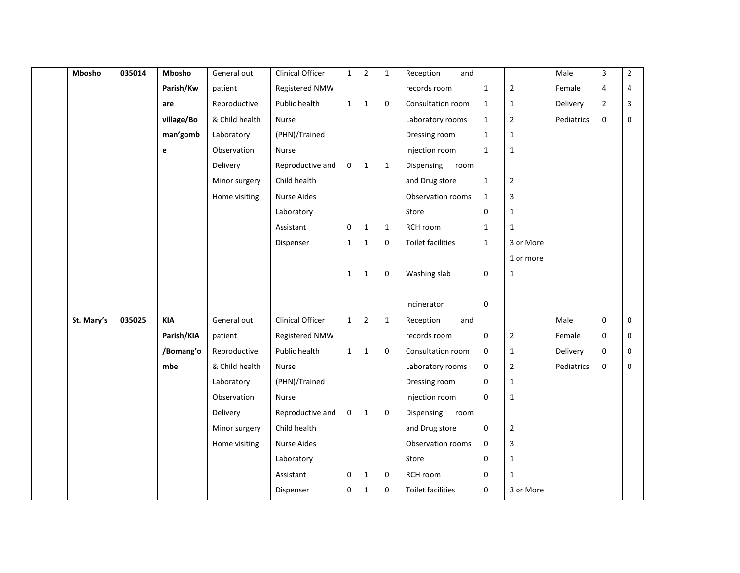| Mbosho     | 035014 | Mbosho     | General out    | Clinical Officer        | $\mathbf{1}$ | $\overline{2}$ | $\mathbf{1}$ | Reception<br>and         |              |                | Male       | 3              | $\overline{2}$ |
|------------|--------|------------|----------------|-------------------------|--------------|----------------|--------------|--------------------------|--------------|----------------|------------|----------------|----------------|
|            |        | Parish/Kw  | patient        | Registered NMW          |              |                |              | records room             | $\mathbf{1}$ | $\mathbf 2$    | Female     | 4              | 4              |
|            |        | are        | Reproductive   | Public health           | $\mathbf{1}$ | $\mathbf{1}$   | $\mathbf 0$  | Consultation room        | $\mathbf{1}$ | $\mathbf{1}$   | Delivery   | $\overline{2}$ | 3              |
|            |        | village/Bo | & Child health | Nurse                   |              |                |              | Laboratory rooms         | $\mathbf{1}$ | $\overline{2}$ | Pediatrics | $\pmb{0}$      | 0              |
|            |        | man'gomb   | Laboratory     | (PHN)/Trained           |              |                |              | Dressing room            | $\mathbf{1}$ | $\mathbf{1}$   |            |                |                |
|            |        | e          | Observation    | Nurse                   |              |                |              | Injection room           | $\mathbf{1}$ | $\mathbf{1}$   |            |                |                |
|            |        |            | Delivery       | Reproductive and        | 0            | $\mathbf{1}$   | $\mathbf{1}$ | Dispensing<br>room       |              |                |            |                |                |
|            |        |            | Minor surgery  | Child health            |              |                |              | and Drug store           | $\mathbf{1}$ | $\mathbf 2$    |            |                |                |
|            |        |            | Home visiting  | <b>Nurse Aides</b>      |              |                |              | Observation rooms        | $\mathbf{1}$ | 3              |            |                |                |
|            |        |            |                | Laboratory              |              |                |              | Store                    | 0            | $\mathbf{1}$   |            |                |                |
|            |        |            |                | Assistant               | $\mathbf 0$  | $\mathbf{1}$   | $\mathbf{1}$ | RCH room                 | $\mathbf{1}$ | $\mathbf{1}$   |            |                |                |
|            |        |            |                | Dispenser               | $\mathbf{1}$ | $\mathbf{1}$   | $\mathbf 0$  | <b>Toilet facilities</b> | $\mathbf{1}$ | 3 or More      |            |                |                |
|            |        |            |                |                         |              |                |              |                          |              | 1 or more      |            |                |                |
|            |        |            |                |                         | $\mathbf{1}$ | $\mathbf{1}$   | $\mathbf 0$  | Washing slab             | 0            | $\mathbf{1}$   |            |                |                |
|            |        |            |                |                         |              |                |              |                          |              |                |            |                |                |
|            |        |            |                |                         |              |                |              | Incinerator              | 0            |                |            |                |                |
| St. Mary's | 035025 | <b>KIA</b> | General out    | <b>Clinical Officer</b> | $\mathbf{1}$ | $\overline{2}$ | $\mathbf{1}$ | Reception<br>and         |              |                | Male       | $\pmb{0}$      | $\mathbf 0$    |
|            |        | Parish/KIA | patient        | Registered NMW          |              |                |              | records room             | 0            | $\overline{2}$ | Female     | $\mathbf 0$    | $\mathbf 0$    |
|            |        | /Bomang'o  | Reproductive   | Public health           | $\mathbf{1}$ | $\mathbf{1}$   | $\mathbf 0$  | Consultation room        | 0            | $\mathbf{1}$   | Delivery   | $\pmb{0}$      | 0              |
|            |        | mbe        | & Child health | Nurse                   |              |                |              | Laboratory rooms         | 0            | $\overline{2}$ | Pediatrics | $\mathbf 0$    | 0              |
|            |        |            | Laboratory     | (PHN)/Trained           |              |                |              | Dressing room            | 0            | $\mathbf{1}$   |            |                |                |
|            |        |            | Observation    | Nurse                   |              |                |              | Injection room           | 0            | $\mathbf{1}$   |            |                |                |
|            |        |            | Delivery       | Reproductive and        | 0            | $\mathbf 1$    | $\mathbf 0$  | Dispensing room          |              |                |            |                |                |
|            |        |            | Minor surgery  | Child health            |              |                |              | and Drug store           | 0            | $\overline{2}$ |            |                |                |
|            |        |            | Home visiting  | Nurse Aides             |              |                |              | Observation rooms        | 0            | 3              |            |                |                |
|            |        |            |                | Laboratory              |              |                |              | Store                    | 0            | $\mathbf{1}$   |            |                |                |
|            |        |            |                | Assistant               | $\mathbf 0$  | 1              | $\mathbf 0$  | RCH room                 | 0            | 1              |            |                |                |
|            |        |            |                | Dispenser               | $\mathbf 0$  | $\mathbf{1}$   | $\mathbf 0$  | <b>Toilet facilities</b> | 0            | 3 or More      |            |                |                |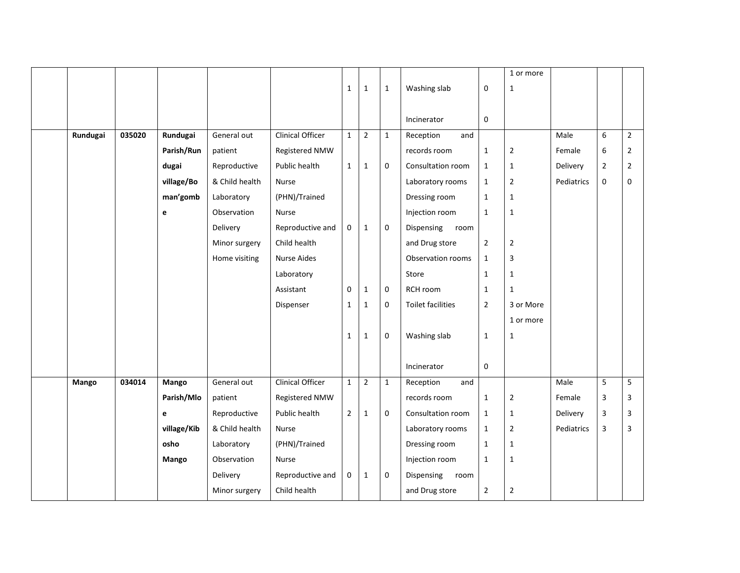|          |        |              |                |                         |                |                |              |                          |                | 1 or more      |            |                |                |
|----------|--------|--------------|----------------|-------------------------|----------------|----------------|--------------|--------------------------|----------------|----------------|------------|----------------|----------------|
|          |        |              |                |                         | $\mathbf{1}$   | $\mathbf{1}$   | $\mathbf{1}$ | Washing slab             | 0              | $\mathbf{1}$   |            |                |                |
|          |        |              |                |                         |                |                |              |                          |                |                |            |                |                |
|          |        |              |                |                         |                |                |              | Incinerator              | 0              |                |            |                |                |
| Rundugai | 035020 | Rundugai     | General out    | <b>Clinical Officer</b> | $\mathbf{1}$   | $\overline{2}$ | $\mathbf 1$  | Reception<br>and         |                |                | Male       | 6              | $\overline{2}$ |
|          |        | Parish/Run   | patient        | Registered NMW          |                |                |              | records room             | $\mathbf 1$    | $\overline{2}$ | Female     | 6              | $\overline{2}$ |
|          |        | dugai        | Reproductive   | Public health           | $\mathbf{1}$   | $\mathbf{1}$   | $\mathbf 0$  | Consultation room        | $\mathbf{1}$   | $\mathbf{1}$   | Delivery   | $\overline{2}$ | $\overline{2}$ |
|          |        | village/Bo   | & Child health | Nurse                   |                |                |              | Laboratory rooms         | $\mathbf{1}$   | $\overline{2}$ | Pediatrics | $\pmb{0}$      | $\mathbf{0}$   |
|          |        | man'gomb     | Laboratory     | (PHN)/Trained           |                |                |              | Dressing room            | $\mathbf{1}$   | $\mathbf{1}$   |            |                |                |
|          |        | $\mathbf{e}$ | Observation    | Nurse                   |                |                |              | Injection room           | $\mathbf{1}$   | $\mathbf{1}$   |            |                |                |
|          |        |              | Delivery       | Reproductive and        | $\mathbf{0}$   | $\mathbf{1}$   | $\mathbf 0$  | Dispensing<br>room       |                |                |            |                |                |
|          |        |              | Minor surgery  | Child health            |                |                |              | and Drug store           | $\mathbf 2$    | $\overline{2}$ |            |                |                |
|          |        |              | Home visiting  | <b>Nurse Aides</b>      |                |                |              | Observation rooms        | $\mathbf{1}$   | 3              |            |                |                |
|          |        |              |                | Laboratory              |                |                |              | Store                    | $\mathbf 1$    | $1\,$          |            |                |                |
|          |        |              |                | Assistant               | $\mathbf 0$    | $1\,$          | $\mathbf 0$  | RCH room                 | $\mathbf{1}$   | $\mathbf{1}$   |            |                |                |
|          |        |              |                | Dispenser               | 1              | $\mathbf{1}$   | $\mathbf 0$  | <b>Toilet facilities</b> | $\overline{2}$ | 3 or More      |            |                |                |
|          |        |              |                |                         |                |                |              |                          |                | 1 or more      |            |                |                |
|          |        |              |                |                         | $\mathbf{1}$   | $\mathbf{1}$   | 0            | Washing slab             | $\mathbf 1$    | $\mathbf{1}$   |            |                |                |
|          |        |              |                |                         |                |                |              |                          |                |                |            |                |                |
|          |        |              |                |                         |                |                |              | Incinerator              | 0              |                |            |                |                |
| Mango    | 034014 | Mango        | General out    | Clinical Officer        | $\mathbf{1}$   | $\overline{2}$ | $\mathbf{1}$ | Reception<br>and         |                |                | Male       | 5              | 5              |
|          |        | Parish/Mlo   | patient        | Registered NMW          |                |                |              | records room             | $\mathbf 1$    | $\overline{2}$ | Female     | 3              | 3              |
|          |        | e            | Reproductive   | Public health           | $\overline{2}$ | $\mathbf{1}$   | $\mathbf 0$  | Consultation room        | $\mathbf{1}$   | $\mathbf{1}$   | Delivery   | $\mathsf 3$    | $\overline{3}$ |
|          |        | village/Kib  | & Child health | <b>Nurse</b>            |                |                |              | Laboratory rooms         | $\mathbf{1}$   | $\overline{2}$ | Pediatrics | 3              | $\overline{3}$ |
|          |        | osho         | Laboratory     | (PHN)/Trained           |                |                |              | Dressing room            | $\mathbf 1$    | $1\,$          |            |                |                |
|          |        | Mango        | Observation    | Nurse                   |                |                |              | Injection room           | $\mathbf{1}$   | $\mathbf{1}$   |            |                |                |
|          |        |              | Delivery       | Reproductive and        | $\mathbf 0$    | $\mathbf{1}$   | 0            | Dispensing<br>room       |                |                |            |                |                |
|          |        |              | Minor surgery  | Child health            |                |                |              | and Drug store           | $\overline{2}$ | $\mathbf 2$    |            |                |                |
|          |        |              |                |                         |                |                |              |                          |                |                |            |                |                |
|          |        |              |                |                         |                |                |              |                          |                |                |            |                |                |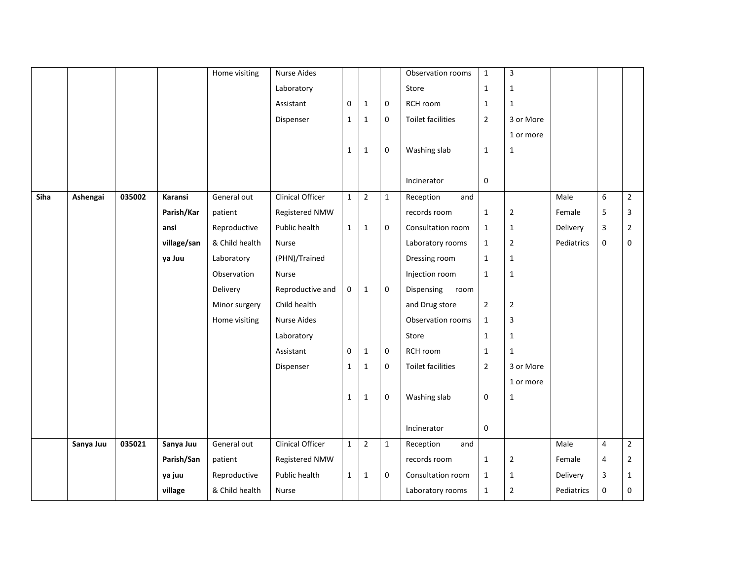|      |           |        |             | Home visiting  | <b>Nurse Aides</b>      |              |                |              | Observation rooms        | $\mathbf{1}$   | $\overline{3}$ |            |   |                |
|------|-----------|--------|-------------|----------------|-------------------------|--------------|----------------|--------------|--------------------------|----------------|----------------|------------|---|----------------|
|      |           |        |             |                | Laboratory              |              |                |              | Store                    | $\mathbf{1}$   | $\mathbf{1}$   |            |   |                |
|      |           |        |             |                | Assistant               | $\mathbf 0$  | $\mathbf{1}$   | $\mathbf 0$  | RCH room                 | $\mathbf{1}$   | 1              |            |   |                |
|      |           |        |             |                | Dispenser               | $\mathbf{1}$ | $1\,$          | $\mathbf 0$  | <b>Toilet facilities</b> | $\overline{2}$ | 3 or More      |            |   |                |
|      |           |        |             |                |                         |              |                |              |                          |                | 1 or more      |            |   |                |
|      |           |        |             |                |                         | $\mathbf{1}$ | $\mathbf{1}$   | 0            | Washing slab             | $\mathbf{1}$   | 1              |            |   |                |
|      |           |        |             |                |                         |              |                |              |                          |                |                |            |   |                |
|      |           |        |             |                |                         |              |                |              | Incinerator              | $\mathbf{0}$   |                |            |   |                |
| Siha | Ashengai  | 035002 | Karansi     | General out    | <b>Clinical Officer</b> | $\mathbf{1}$ | $\overline{2}$ | $\mathbf{1}$ | Reception<br>and         |                |                | Male       | 6 | $\overline{2}$ |
|      |           |        | Parish/Kar  | patient        | Registered NMW          |              |                |              | records room             | $\mathbf{1}$   | $\overline{2}$ | Female     | 5 | 3              |
|      |           |        | ansi        | Reproductive   | Public health           | $\mathbf{1}$ | $\mathbf{1}$   | $\mathbf 0$  | Consultation room        | $\mathbf{1}$   | $\mathbf{1}$   | Delivery   | 3 | $\overline{2}$ |
|      |           |        | village/san | & Child health | Nurse                   |              |                |              | Laboratory rooms         | $\mathbf{1}$   | $\overline{2}$ | Pediatrics | 0 | 0              |
|      |           |        | ya Juu      | Laboratory     | (PHN)/Trained           |              |                |              | Dressing room            | $\mathbf{1}$   | $\mathbf{1}$   |            |   |                |
|      |           |        |             | Observation    | Nurse                   |              |                |              | Injection room           | $\mathbf{1}$   | $\mathbf 1$    |            |   |                |
|      |           |        |             | Delivery       | Reproductive and        | $\mathbf 0$  | $\mathbf{1}$   | 0            | Dispensing<br>room       |                |                |            |   |                |
|      |           |        |             | Minor surgery  | Child health            |              |                |              | and Drug store           | $\overline{2}$ | $\overline{2}$ |            |   |                |
|      |           |        |             | Home visiting  | Nurse Aides             |              |                |              | Observation rooms        | $\mathbf{1}$   | 3              |            |   |                |
|      |           |        |             |                | Laboratory              |              |                |              | Store                    | $\mathbf{1}$   | $\mathbf{1}$   |            |   |                |
|      |           |        |             |                | Assistant               | $\mathbf 0$  | $\mathbf{1}$   | $\mathbf 0$  | RCH room                 | $\mathbf{1}$   | 1              |            |   |                |
|      |           |        |             |                | Dispenser               | $\mathbf 1$  | $\mathbf 1$    | 0            | <b>Toilet facilities</b> | $\overline{2}$ | 3 or More      |            |   |                |
|      |           |        |             |                |                         |              |                |              |                          |                | 1 or more      |            |   |                |
|      |           |        |             |                |                         | $\mathbf{1}$ | $1\,$          | 0            | Washing slab             | 0              | $\mathbf{1}$   |            |   |                |
|      |           |        |             |                |                         |              |                |              |                          |                |                |            |   |                |
|      |           |        |             |                |                         |              |                |              | Incinerator              | 0              |                |            |   |                |
|      | Sanya Juu | 035021 | Sanya Juu   | General out    | Clinical Officer        | $\mathbf{1}$ | $\overline{2}$ | $\mathbf{1}$ | Reception<br>and         |                |                | Male       | 4 | $\overline{2}$ |
|      |           |        | Parish/San  | patient        | Registered NMW          |              |                |              | records room             | $\mathbf{1}$   | $\overline{2}$ | Female     | 4 | $\overline{2}$ |
|      |           |        | ya juu      | Reproductive   | Public health           | $\mathbf{1}$ | $\mathbf{1}$   | 0            | Consultation room        | $\mathbf{1}$   | 1              | Delivery   | 3 | $\mathbf{1}$   |
|      |           |        | village     | & Child health | Nurse                   |              |                |              | Laboratory rooms         | $\mathbf{1}$   | $\overline{2}$ | Pediatrics | 0 | 0              |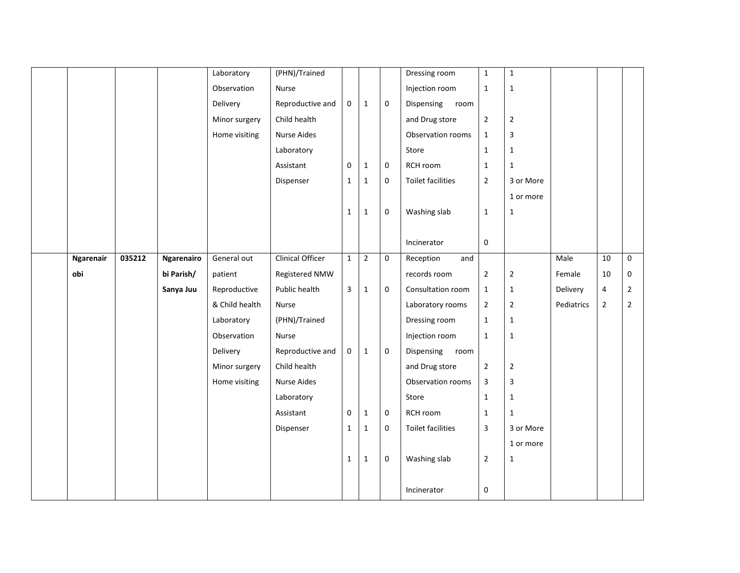|                  |        |            | Laboratory     | (PHN)/Trained      |              |                |              | Dressing room      | $\mathbf 1$    | $\mathbf 1$    |            |                         |                |
|------------------|--------|------------|----------------|--------------------|--------------|----------------|--------------|--------------------|----------------|----------------|------------|-------------------------|----------------|
|                  |        |            | Observation    | Nurse              |              |                |              | Injection room     | $\mathbf 1$    | $\mathbf 1$    |            |                         |                |
|                  |        |            | Delivery       | Reproductive and   | 0            | $\mathbf{1}$   | $\mathbf 0$  | Dispensing<br>room |                |                |            |                         |                |
|                  |        |            | Minor surgery  | Child health       |              |                |              | and Drug store     | $\mathbf 2$    | $\overline{2}$ |            |                         |                |
|                  |        |            | Home visiting  | <b>Nurse Aides</b> |              |                |              | Observation rooms  | $\mathbf{1}$   | 3              |            |                         |                |
|                  |        |            |                | Laboratory         |              |                |              | Store              | $\mathbf{1}$   | $\mathbf{1}$   |            |                         |                |
|                  |        |            |                | Assistant          | $\mathbf 0$  | $\mathbf{1}$   | $\mathbf 0$  | RCH room           | $\mathbf{1}$   | $\mathbf{1}$   |            |                         |                |
|                  |        |            |                | Dispenser          | $\mathbf{1}$ | $\mathbf 1$    | $\mathbf 0$  | Toilet facilities  | $\overline{2}$ | 3 or More      |            |                         |                |
|                  |        |            |                |                    |              |                |              |                    |                | 1 or more      |            |                         |                |
|                  |        |            |                |                    | $\mathbf{1}$ | $\mathbf{1}$   | $\mathbf 0$  | Washing slab       | $\mathbf{1}$   | $\mathbf 1$    |            |                         |                |
|                  |        |            |                |                    |              |                |              |                    |                |                |            |                         |                |
|                  |        |            |                |                    |              |                |              | Incinerator        | $\pmb{0}$      |                |            |                         |                |
| <b>Ngarenair</b> | 035212 | Ngarenairo | General out    | Clinical Officer   | $\mathbf{1}$ | $\overline{2}$ | $\mathbf{0}$ | Reception<br>and   |                |                | Male       | 10                      | $\mathbf 0$    |
| obi              |        | bi Parish/ | patient        | Registered NMW     |              |                |              | records room       | $\mathbf 2$    | $\mathbf 2$    | Female     | 10                      | 0              |
|                  |        | Sanya Juu  | Reproductive   | Public health      | 3            | $\mathbf{1}$   | $\pmb{0}$    | Consultation room  | $\mathbf{1}$   | $\mathbf{1}$   | Delivery   | $\overline{\mathbf{4}}$ | $\overline{2}$ |
|                  |        |            | & Child health | Nurse              |              |                |              | Laboratory rooms   | $\overline{2}$ | $\overline{2}$ | Pediatrics | $\mathbf 2$             | $\overline{2}$ |
|                  |        |            | Laboratory     | (PHN)/Trained      |              |                |              | Dressing room      | $\mathbf{1}$   | $\mathbf 1$    |            |                         |                |
|                  |        |            | Observation    | <b>Nurse</b>       |              |                |              | Injection room     | $\mathbf{1}$   | $\mathbf{1}$   |            |                         |                |
|                  |        |            | Delivery       | Reproductive and   | 0            | $\mathbf{1}$   | $\mathbf 0$  | Dispensing room    |                |                |            |                         |                |
|                  |        |            | Minor surgery  | Child health       |              |                |              | and Drug store     | $\mathbf 2$    | $\overline{2}$ |            |                         |                |
|                  |        |            | Home visiting  | Nurse Aides        |              |                |              | Observation rooms  | 3              | 3              |            |                         |                |
|                  |        |            |                | Laboratory         |              |                |              | Store              | $\mathbf{1}$   | $\mathbf 1$    |            |                         |                |
|                  |        |            |                | Assistant          | 0            | $\mathbf 1$    | $\pmb{0}$    | RCH room           | $\mathbf 1$    | $\mathbf 1$    |            |                         |                |
|                  |        |            |                | Dispenser          | $\mathbf{1}$ | $\mathbf{1}$   | $\mathbf 0$  | Toilet facilities  | 3              | 3 or More      |            |                         |                |
|                  |        |            |                |                    |              |                |              |                    |                | 1 or more      |            |                         |                |
|                  |        |            |                |                    | $\mathbf{1}$ | $\mathbf 1$    | $\mathbf 0$  | Washing slab       | $\mathbf 2$    | $\mathbf 1$    |            |                         |                |
|                  |        |            |                |                    |              |                |              |                    |                |                |            |                         |                |
|                  |        |            |                |                    |              |                |              | Incinerator        | $\pmb{0}$      |                |            |                         |                |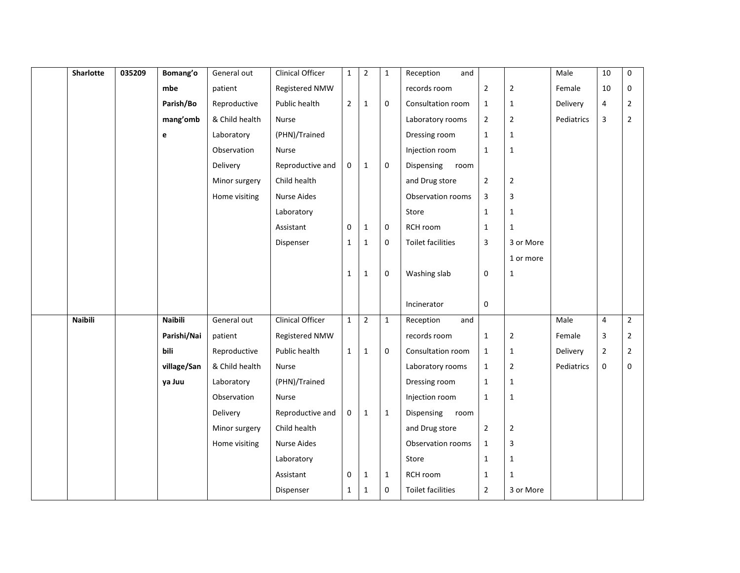| Sharlotte      | 035209 | Bomang'o       | General out    | Clinical Officer        | $\mathbf{1}$   | $\overline{2}$ | $\mathbf{1}$ | Reception<br>and         |                |                | Male       | 10                      | 0              |
|----------------|--------|----------------|----------------|-------------------------|----------------|----------------|--------------|--------------------------|----------------|----------------|------------|-------------------------|----------------|
|                |        | mbe            | patient        | Registered NMW          |                |                |              | records room             | $\mathbf 2$    | $\overline{2}$ | Female     | 10                      | 0              |
|                |        | Parish/Bo      | Reproductive   | Public health           | $\overline{2}$ | $\mathbf{1}$   | $\mathbf 0$  | Consultation room        | $\mathbf{1}$   | $\mathbf{1}$   | Delivery   | 4                       | $\mathbf{2}$   |
|                |        | mang'omb       | & Child health | Nurse                   |                |                |              | Laboratory rooms         | $\overline{2}$ | $\overline{2}$ | Pediatrics | $\overline{\mathbf{3}}$ | $\overline{2}$ |
|                |        | e              | Laboratory     | (PHN)/Trained           |                |                |              | Dressing room            | $\mathbf{1}$   | $\mathbf{1}$   |            |                         |                |
|                |        |                | Observation    | Nurse                   |                |                |              | Injection room           | $\mathbf{1}$   | $\mathbf{1}$   |            |                         |                |
|                |        |                | Delivery       | Reproductive and        | $\mathbf 0$    | $\mathbf{1}$   | $\mathbf{0}$ | Dispensing<br>room       |                |                |            |                         |                |
|                |        |                | Minor surgery  | Child health            |                |                |              | and Drug store           | $\mathbf 2$    | $\mathbf 2$    |            |                         |                |
|                |        |                | Home visiting  | <b>Nurse Aides</b>      |                |                |              | Observation rooms        | 3              | 3              |            |                         |                |
|                |        |                |                | Laboratory              |                |                |              | Store                    | $\mathbf{1}$   | $\mathbf{1}$   |            |                         |                |
|                |        |                |                | Assistant               | $\mathbf 0$    | $1\,$          | 0            | RCH room                 | $\mathbf{1}$   | $\mathbf{1}$   |            |                         |                |
|                |        |                |                | Dispenser               | $\mathbf{1}$   | $\mathbf{1}$   | 0            | <b>Toilet facilities</b> | 3              | 3 or More      |            |                         |                |
|                |        |                |                |                         |                |                |              |                          |                | 1 or more      |            |                         |                |
|                |        |                |                |                         | $\mathbf{1}$   | $\mathbf{1}$   | 0            | Washing slab             | $\mathbf 0$    | $1\,$          |            |                         |                |
|                |        |                |                |                         |                |                |              |                          |                |                |            |                         |                |
|                |        |                |                |                         |                |                |              | Incinerator              | 0              |                |            |                         |                |
| <b>Naibili</b> |        | <b>Naibili</b> | General out    | <b>Clinical Officer</b> | $\mathbf{1}$   | $\overline{2}$ | $\mathbf 1$  | Reception<br>and         |                |                | Male       | $\overline{4}$          | $\overline{2}$ |
|                |        | Parishi/Nai    | patient        | Registered NMW          |                |                |              | records room             | $\mathbf{1}$   | $\overline{2}$ | Female     | 3                       | $\overline{2}$ |
|                |        | bili           | Reproductive   | Public health           | $\mathbf{1}$   | $\mathbf{1}$   | 0            | Consultation room        | $\mathbf{1}$   | $\mathbf{1}$   | Delivery   | $\mathbf 2$             | $\overline{2}$ |
|                |        | village/San    | & Child health | Nurse                   |                |                |              | Laboratory rooms         | $\mathbf{1}$   | $\overline{2}$ | Pediatrics | $\pmb{0}$               | 0              |
|                |        | ya Juu         | Laboratory     | (PHN)/Trained           |                |                |              | Dressing room            | $\mathbf{1}$   | $\mathbf{1}$   |            |                         |                |
|                |        |                | Observation    | Nurse                   |                |                |              | Injection room           | $\mathbf{1}$   | $\mathbf{1}$   |            |                         |                |
|                |        |                | Delivery       | Reproductive and        | 0              | $1\,$          | $\mathbf{1}$ | Dispensing<br>room       |                |                |            |                         |                |
|                |        |                | Minor surgery  | Child health            |                |                |              | and Drug store           | $\overline{2}$ | $\overline{2}$ |            |                         |                |
|                |        |                | Home visiting  | Nurse Aides             |                |                |              | Observation rooms        | $\mathbf{1}$   | 3              |            |                         |                |
|                |        |                |                | Laboratory              |                |                |              | Store                    | $\mathbf{1}$   | $\mathbf 1$    |            |                         |                |
|                |        |                |                | Assistant               | $\mathbf 0$    | $\mathbf{1}$   | $\mathbf{1}$ | RCH room                 | $\mathbf{1}$   | 1              |            |                         |                |
|                |        |                |                | Dispenser               | $\mathbf{1}$   | $\mathbf{1}$   | $\mathbf 0$  | <b>Toilet facilities</b> | $\overline{2}$ | 3 or More      |            |                         |                |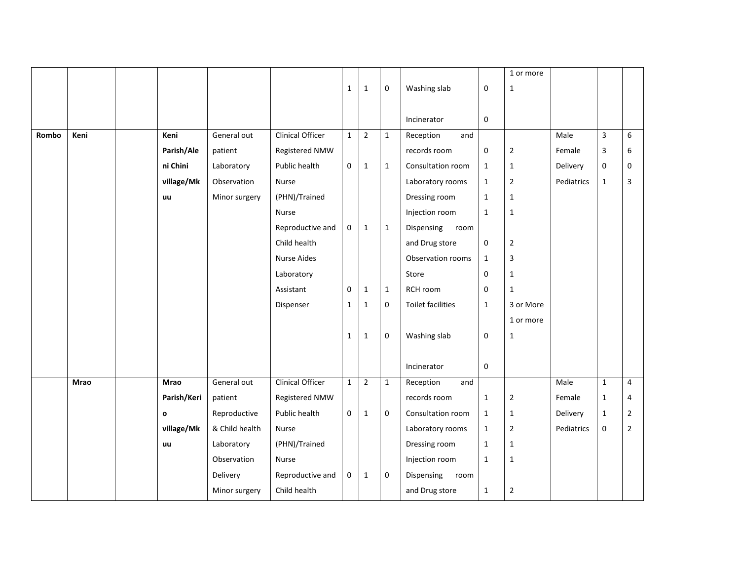|       |      |             |                |                         |              |                |              |                          |              | 1 or more      |            |              |                  |
|-------|------|-------------|----------------|-------------------------|--------------|----------------|--------------|--------------------------|--------------|----------------|------------|--------------|------------------|
|       |      |             |                |                         | $\mathbf{1}$ | $\mathbf 1$    | $\mathbf 0$  | Washing slab             | 0            | $\mathbf{1}$   |            |              |                  |
|       |      |             |                |                         |              |                |              |                          |              |                |            |              |                  |
|       |      |             |                |                         |              |                |              | Incinerator              | 0            |                |            |              |                  |
| Rombo | Keni | Keni        | General out    | <b>Clinical Officer</b> | $\mathbf{1}$ | $\mathbf 2$    | $\mathbf{1}$ | Reception<br>and         |              |                | Male       | $\mathsf 3$  | $\boldsymbol{6}$ |
|       |      | Parish/Ale  | patient        | Registered NMW          |              |                |              | records room             | 0            | $\overline{2}$ | Female     | 3            | 6                |
|       |      | ni Chini    | Laboratory     | Public health           | $\mathbf 0$  | $\mathbf{1}$   | $\mathbf{1}$ | Consultation room        | $\mathbf{1}$ | $\mathbf{1}$   | Delivery   | 0            | 0                |
|       |      | village/Mk  | Observation    | Nurse                   |              |                |              | Laboratory rooms         | $\mathbf{1}$ | $\overline{2}$ | Pediatrics | $\mathbf{1}$ | 3                |
|       |      | uu          | Minor surgery  | (PHN)/Trained           |              |                |              | Dressing room            | $\mathbf{1}$ | $\mathbf{1}$   |            |              |                  |
|       |      |             |                | Nurse                   |              |                |              | Injection room           | $\mathbf{1}$ | $\mathbf{1}$   |            |              |                  |
|       |      |             |                | Reproductive and        | $\mathbf 0$  | $\mathbf{1}$   | $\mathbf{1}$ | Dispensing<br>room       |              |                |            |              |                  |
|       |      |             |                | Child health            |              |                |              | and Drug store           | 0            | $\mathbf 2$    |            |              |                  |
|       |      |             |                | <b>Nurse Aides</b>      |              |                |              | Observation rooms        | $\mathbf{1}$ | 3              |            |              |                  |
|       |      |             |                | Laboratory              |              |                |              | Store                    | 0            | $\mathbf{1}$   |            |              |                  |
|       |      |             |                | Assistant               | $\mathbf 0$  | $\mathbf 1$    | $\mathbf{1}$ | RCH room                 | 0            | $\mathbf{1}$   |            |              |                  |
|       |      |             |                | Dispenser               | $\mathbf{1}$ | $\mathbf 1$    | $\mathbf 0$  | <b>Toilet facilities</b> | $\mathbf 1$  | 3 or More      |            |              |                  |
|       |      |             |                |                         |              |                |              |                          |              | 1 or more      |            |              |                  |
|       |      |             |                |                         | $\mathbf{1}$ | $\mathbf 1$    | $\mathbf 0$  | Washing slab             | 0            | $\mathbf{1}$   |            |              |                  |
|       |      |             |                |                         |              |                |              |                          |              |                |            |              |                  |
|       |      |             |                |                         |              |                |              | Incinerator              | $\pmb{0}$    |                |            |              |                  |
|       | Mrao | <b>Mrao</b> | General out    | <b>Clinical Officer</b> | $\mathbf{1}$ | $\overline{2}$ | $\mathbf{1}$ | Reception<br>and         |              |                | Male       | $\mathbf{1}$ | $\overline{4}$   |
|       |      | Parish/Keri | patient        | Registered NMW          |              |                |              | records room             | $\mathbf{1}$ | $\overline{2}$ | Female     | $\mathbf{1}$ | 4                |
|       |      | o           | Reproductive   | Public health           | $\mathbf 0$  | $\mathbf 1$    | $\mathbf 0$  | Consultation room        | $\mathbf{1}$ | $\mathbf{1}$   | Delivery   | $\mathbf 1$  | $\overline{2}$   |
|       |      | village/Mk  | & Child health | Nurse                   |              |                |              | Laboratory rooms         | $\mathbf{1}$ | $\overline{2}$ | Pediatrics | $\pmb{0}$    | $\overline{2}$   |
|       |      | uu          | Laboratory     | (PHN)/Trained           |              |                |              | Dressing room            | $\mathbf{1}$ | $\mathbf{1}$   |            |              |                  |
|       |      |             | Observation    | <b>Nurse</b>            |              |                |              | Injection room           | $\mathbf{1}$ | $\mathbf{1}$   |            |              |                  |
|       |      |             | Delivery       | Reproductive and        | 0            | $\mathbf 1$    | $\mathbf 0$  | Dispensing<br>room       |              |                |            |              |                  |
|       |      |             | Minor surgery  | Child health            |              |                |              | and Drug store           | $\mathbf 1$  | $\overline{2}$ |            |              |                  |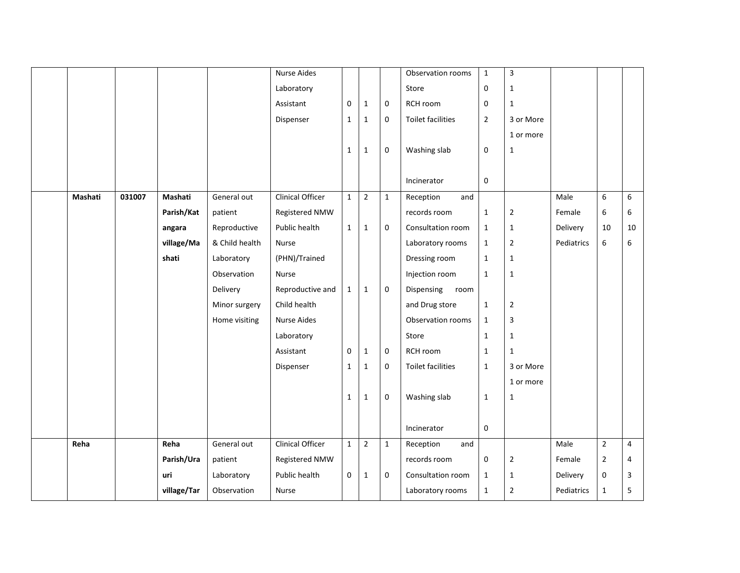|         |        |             |                | <b>Nurse Aides</b>      |              |                |              | Observation rooms        | $\mathbf 1$    | $\mathbf{3}$   |            |                |                |
|---------|--------|-------------|----------------|-------------------------|--------------|----------------|--------------|--------------------------|----------------|----------------|------------|----------------|----------------|
|         |        |             |                | Laboratory              |              |                |              | Store                    | 0              | $\mathbf{1}$   |            |                |                |
|         |        |             |                | Assistant               | $\mathbf 0$  | $\mathbf{1}$   | $\mathbf 0$  | RCH room                 | 0              | $\mathbf{1}$   |            |                |                |
|         |        |             |                | Dispenser               | $\mathbf{1}$ | $\mathbf 1$    | 0            | Toilet facilities        | $\overline{2}$ | 3 or More      |            |                |                |
|         |        |             |                |                         |              |                |              |                          |                | 1 or more      |            |                |                |
|         |        |             |                |                         | $\mathbf{1}$ | $\mathbf 1$    | 0            | Washing slab             | 0              | $\mathbf{1}$   |            |                |                |
|         |        |             |                |                         |              |                |              |                          |                |                |            |                |                |
|         |        |             |                |                         |              |                |              | Incinerator              | $\mathbf 0$    |                |            |                |                |
| Mashati | 031007 | Mashati     | General out    | <b>Clinical Officer</b> | $\mathbf{1}$ | $\overline{2}$ | $\mathbf{1}$ | Reception<br>and         |                |                | Male       | 6              | 6              |
|         |        | Parish/Kat  | patient        | Registered NMW          |              |                |              | records room             | $\mathbf{1}$   | $\overline{2}$ | Female     | 6              | 6              |
|         |        | angara      | Reproductive   | Public health           | $\mathbf{1}$ | $\mathbf{1}$   | 0            | Consultation room        | $\mathbf{1}$   | $\mathbf{1}$   | Delivery   | 10             | 10             |
|         |        | village/Ma  | & Child health | Nurse                   |              |                |              | Laboratory rooms         | $\mathbf{1}$   | $\overline{2}$ | Pediatrics | 6              | 6              |
|         |        | shati       | Laboratory     | (PHN)/Trained           |              |                |              | Dressing room            | $\mathbf{1}$   | $\mathbf{1}$   |            |                |                |
|         |        |             | Observation    | Nurse                   |              |                |              | Injection room           | $\mathbf{1}$   | $\mathbf 1$    |            |                |                |
|         |        |             | Delivery       | Reproductive and        | $\mathbf{1}$ | $\mathbf{1}$   | $\mathbf 0$  | Dispensing<br>room       |                |                |            |                |                |
|         |        |             | Minor surgery  | Child health            |              |                |              | and Drug store           | $\mathbf{1}$   | $\overline{2}$ |            |                |                |
|         |        |             | Home visiting  | <b>Nurse Aides</b>      |              |                |              | Observation rooms        | $\mathbf{1}$   | 3              |            |                |                |
|         |        |             |                | Laboratory              |              |                |              | Store                    | $\mathbf{1}$   | $\mathbf{1}$   |            |                |                |
|         |        |             |                | Assistant               | $\mathbf 0$  | $\mathbf{1}$   | $\mathbf 0$  | RCH room                 | $\mathbf{1}$   | 1              |            |                |                |
|         |        |             |                | Dispenser               | $\mathbf 1$  | $\mathbf 1$    | 0            | <b>Toilet facilities</b> | $\mathbf{1}$   | 3 or More      |            |                |                |
|         |        |             |                |                         |              |                |              |                          |                | 1 or more      |            |                |                |
|         |        |             |                |                         | $\mathbf{1}$ | $\mathbf{1}$   | $\mathbf 0$  | Washing slab             | $\mathbf{1}$   | $\mathbf{1}$   |            |                |                |
|         |        |             |                |                         |              |                |              |                          |                |                |            |                |                |
|         |        |             |                |                         |              |                |              | Incinerator              | 0              |                |            |                |                |
| Reha    |        | Reha        | General out    | Clinical Officer        | $\mathbf{1}$ | $\mathbf 2$    | $\mathbf{1}$ | Reception<br>and         |                |                | Male       | $\overline{2}$ | $\overline{4}$ |
|         |        | Parish/Ura  | patient        | Registered NMW          |              |                |              | records room             | 0              | $\overline{2}$ | Female     | $\overline{2}$ | $\overline{4}$ |
|         |        | uri         | Laboratory     | Public health           | $\mathbf 0$  | $\mathbf{1}$   | $\mathbf 0$  | Consultation room        | $\mathbf{1}$   | $\mathbf{1}$   | Delivery   | 0              | 3              |
|         |        | village/Tar | Observation    | Nurse                   |              |                |              | Laboratory rooms         | $\mathbf{1}$   | $\overline{2}$ | Pediatrics | $\mathbf{1}$   | 5              |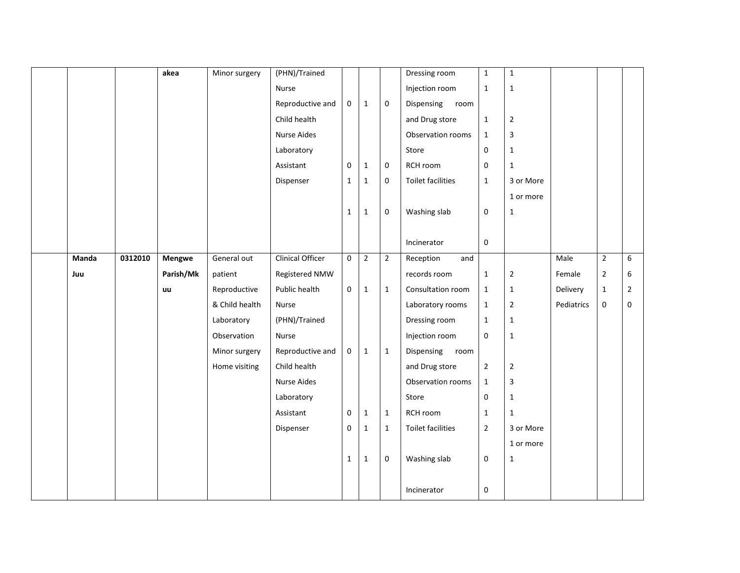|       |         | akea      | Minor surgery  | (PHN)/Trained           |                  |              |                | Dressing room      | $\mathbf 1$      | $1\,$          |            |                |                |
|-------|---------|-----------|----------------|-------------------------|------------------|--------------|----------------|--------------------|------------------|----------------|------------|----------------|----------------|
|       |         |           |                | Nurse                   |                  |              |                | Injection room     | $\mathbf{1}$     | $\mathbf{1}$   |            |                |                |
|       |         |           |                | Reproductive and        | $\mathbf 0$      | $\mathbf{1}$ | $\mathbf 0$    | Dispensing<br>room |                  |                |            |                |                |
|       |         |           |                | Child health            |                  |              |                | and Drug store     | $\mathbf{1}$     | $\mathbf 2$    |            |                |                |
|       |         |           |                | <b>Nurse Aides</b>      |                  |              |                | Observation rooms  | $\mathbf 1$      | $\overline{3}$ |            |                |                |
|       |         |           |                | Laboratory              |                  |              |                | Store              | 0                | $\mathbf{1}$   |            |                |                |
|       |         |           |                | Assistant               | $\mathbf 0$      | $\mathbf{1}$ | $\mathbf 0$    | RCH room           | 0                | $\mathbf{1}$   |            |                |                |
|       |         |           |                | Dispenser               | $\mathbf{1}$     | $\mathbf{1}$ | $\mathbf 0$    | Toilet facilities  | $\mathbf{1}$     | 3 or More      |            |                |                |
|       |         |           |                |                         |                  |              |                |                    |                  | 1 or more      |            |                |                |
|       |         |           |                |                         | $\mathbf{1}$     | $\mathbf{1}$ | $\pmb{0}$      | Washing slab       | 0                | $\mathbf{1}$   |            |                |                |
|       |         |           |                |                         |                  |              |                |                    |                  |                |            |                |                |
|       |         |           |                |                         |                  |              |                | Incinerator        | $\boldsymbol{0}$ |                |            |                |                |
| Manda | 0312010 | Mengwe    | General out    | <b>Clinical Officer</b> | $\mathbf 0$      | $\mathbf 2$  | $\overline{2}$ | Reception<br>and   |                  |                | Male       | $\mathbf 2$    | 6              |
| Juu   |         | Parish/Mk | patient        | Registered NMW          |                  |              |                | records room       | $\mathbf{1}$     | $\mathbf 2$    | Female     | $\overline{2}$ | 6              |
|       |         | uu        | Reproductive   | Public health           | $\boldsymbol{0}$ | $1\,$        | $\mathbf 1$    | Consultation room  | $\mathbf 1$      | $\mathbf{1}$   | Delivery   | $\mathbf{1}$   | $\overline{2}$ |
|       |         |           | & Child health | Nurse                   |                  |              |                | Laboratory rooms   | $\mathbf{1}$     | $\mathbf 2$    | Pediatrics | 0              | $\mathbf 0$    |
|       |         |           | Laboratory     | (PHN)/Trained           |                  |              |                | Dressing room      | $\mathbf{1}$     | $\mathbf{1}$   |            |                |                |
|       |         |           | Observation    | Nurse                   |                  |              |                | Injection room     | 0                | $\mathbf{1}$   |            |                |                |
|       |         |           | Minor surgery  | Reproductive and        | $\mathbf 0$      | $\mathbf{1}$ | $\mathbf{1}$   | Dispensing<br>room |                  |                |            |                |                |
|       |         |           | Home visiting  | Child health            |                  |              |                | and Drug store     | $\mathbf{2}$     | $\mathbf 2$    |            |                |                |
|       |         |           |                | <b>Nurse Aides</b>      |                  |              |                | Observation rooms  | $\mathbf{1}$     | 3              |            |                |                |
|       |         |           |                | Laboratory              |                  |              |                | Store              | 0                | $\mathbf{1}$   |            |                |                |
|       |         |           |                | Assistant               | $\pmb{0}$        | $\mathbf 1$  | $\mathbf{1}$   | RCH room           | $\mathbf{1}$     | $\mathbf{1}$   |            |                |                |
|       |         |           |                | Dispenser               | 0                | $\mathbf{1}$ | $\mathbf{1}$   | Toilet facilities  | $\overline{2}$   | 3 or More      |            |                |                |
|       |         |           |                |                         |                  |              |                |                    |                  | 1 or more      |            |                |                |
|       |         |           |                |                         | $\mathbf{1}$     | $\mathbf{1}$ | 0              | Washing slab       | 0                | $\mathbf{1}$   |            |                |                |
|       |         |           |                |                         |                  |              |                |                    |                  |                |            |                |                |
|       |         |           |                |                         |                  |              |                | Incinerator        | $\boldsymbol{0}$ |                |            |                |                |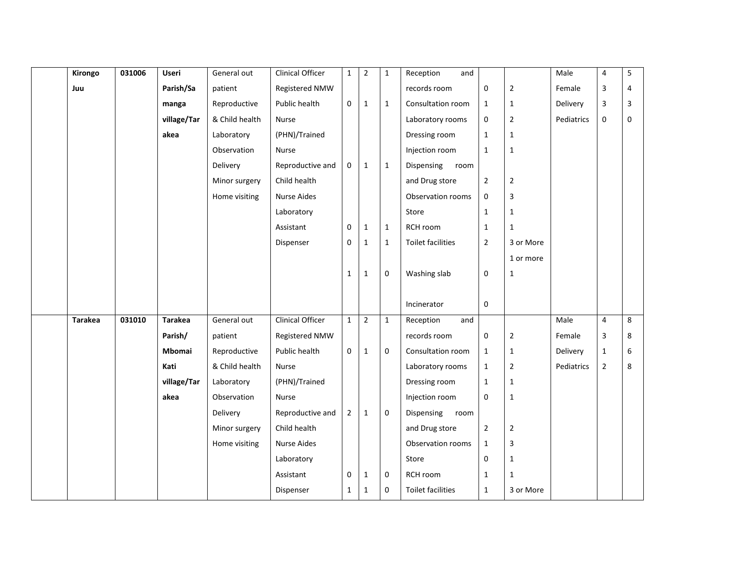| Kirongo        | 031006 | Useri          | General out    | Clinical Officer        | $\mathbf{1}$   | $\mathbf 2$    | $\mathbf{1}$ | Reception<br>and   |                |                | Male       | 4              | 5 |
|----------------|--------|----------------|----------------|-------------------------|----------------|----------------|--------------|--------------------|----------------|----------------|------------|----------------|---|
| Juu            |        | Parish/Sa      | patient        | Registered NMW          |                |                |              | records room       | 0              | $\overline{2}$ | Female     | $\overline{3}$ | 4 |
|                |        | manga          | Reproductive   | Public health           | $\mathbf 0$    | $1\,$          | $\mathbf{1}$ | Consultation room  | $\mathbf{1}$   | $\mathbf{1}$   | Delivery   | $\overline{3}$ | 3 |
|                |        | village/Tar    | & Child health | Nurse                   |                |                |              | Laboratory rooms   | 0              | $\overline{2}$ | Pediatrics | $\pmb{0}$      | 0 |
|                |        | akea           | Laboratory     | (PHN)/Trained           |                |                |              | Dressing room      | $\mathbf{1}$   | $\mathbf{1}$   |            |                |   |
|                |        |                | Observation    | Nurse                   |                |                |              | Injection room     | $\mathbf{1}$   | $\mathbf 1$    |            |                |   |
|                |        |                | Delivery       | Reproductive and        | 0              | $\mathbf{1}$   | $\mathbf{1}$ | Dispensing<br>room |                |                |            |                |   |
|                |        |                | Minor surgery  | Child health            |                |                |              | and Drug store     | $\overline{2}$ | $\mathbf 2$    |            |                |   |
|                |        |                | Home visiting  | <b>Nurse Aides</b>      |                |                |              | Observation rooms  | $\mathbf 0$    | 3              |            |                |   |
|                |        |                |                | Laboratory              |                |                |              | Store              | $\mathbf 1$    | $\mathbf{1}$   |            |                |   |
|                |        |                |                | Assistant               | $\mathbf 0$    | $\mathbf{1}$   | $\mathbf{1}$ | RCH room           | $\mathbf{1}$   | $\mathbf{1}$   |            |                |   |
|                |        |                |                | Dispenser               | $\mathbf 0$    | $\mathbf 1$    | $\mathbf{1}$ | Toilet facilities  | $\overline{2}$ | 3 or More      |            |                |   |
|                |        |                |                |                         |                |                |              |                    |                | 1 or more      |            |                |   |
|                |        |                |                |                         | $\mathbf{1}$   | $\mathbf{1}$   | 0            | Washing slab       | $\mathbf 0$    | $\mathbf{1}$   |            |                |   |
|                |        |                |                |                         |                |                |              |                    |                |                |            |                |   |
|                |        |                |                |                         |                |                |              | Incinerator        | $\mathbf 0$    |                |            |                |   |
| <b>Tarakea</b> | 031010 | <b>Tarakea</b> | General out    | <b>Clinical Officer</b> | $\mathbf{1}$   | $\overline{2}$ | $\mathbf{1}$ | Reception<br>and   |                |                | Male       | $\overline{4}$ | 8 |
|                |        | Parish/        | patient        | Registered NMW          |                |                |              | records room       | 0              | $\overline{2}$ | Female     | 3              | 8 |
|                |        | Mbomai         | Reproductive   | Public health           | $\mathbf 0$    | $\mathbf{1}$   | $\mathbf 0$  | Consultation room  | $\mathbf{1}$   | $\mathbf{1}$   | Delivery   | $\mathbf 1$    | 6 |
|                |        | Kati           | & Child health | Nurse                   |                |                |              | Laboratory rooms   | $\mathbf{1}$   | $\overline{2}$ | Pediatrics | $\overline{2}$ | 8 |
|                |        | village/Tar    | Laboratory     | (PHN)/Trained           |                |                |              | Dressing room      | $\mathbf{1}$   | $\mathbf 1$    |            |                |   |
|                |        | akea           | Observation    | Nurse                   |                |                |              | Injection room     | $\mathbf{0}$   | $\mathbf 1$    |            |                |   |
|                |        |                | Delivery       | Reproductive and        | $\overline{2}$ | $\mathbf{1}$   | $\mathbf 0$  | Dispensing<br>room |                |                |            |                |   |
|                |        |                | Minor surgery  | Child health            |                |                |              | and Drug store     | $\overline{2}$ | $\overline{2}$ |            |                |   |
|                |        |                | Home visiting  | Nurse Aides             |                |                |              | Observation rooms  | $\mathbf{1}$   | 3              |            |                |   |
|                |        |                |                | Laboratory              |                |                |              | Store              | 0              | $\mathbf 1$    |            |                |   |
|                |        |                |                | Assistant               | 0              | $\mathbf{1}$   | $\mathbf 0$  | RCH room           | $\mathbf{1}$   | 1              |            |                |   |
|                |        |                |                | Dispenser               | $\mathbf{1}$   | $\mathbf{1}$   | $\mathbf 0$  | Toilet facilities  | $\mathbf{1}$   | 3 or More      |            |                |   |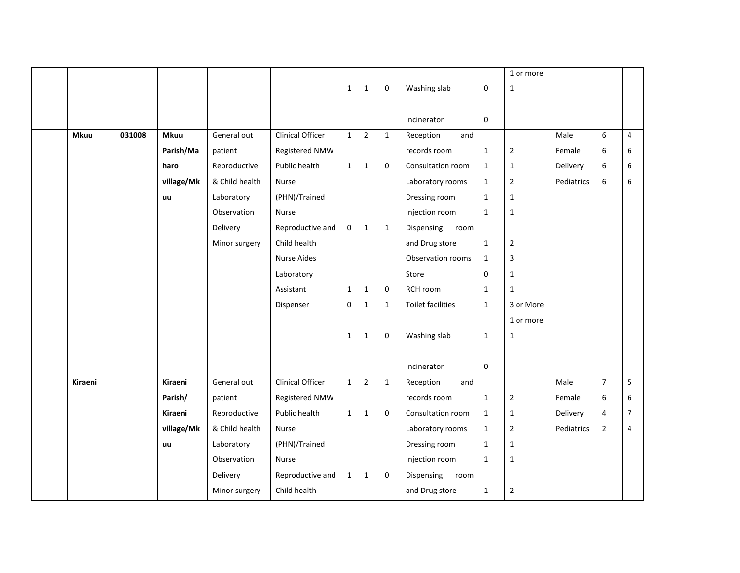|             |        |             |                |                         |              |                |              |                          |              | 1 or more      |            |                  |                |
|-------------|--------|-------------|----------------|-------------------------|--------------|----------------|--------------|--------------------------|--------------|----------------|------------|------------------|----------------|
|             |        |             |                |                         | $\mathbf{1}$ | $\mathbf 1$    | 0            | Washing slab             | 0            | $\mathbf{1}$   |            |                  |                |
|             |        |             |                |                         |              |                |              | Incinerator              | 0            |                |            |                  |                |
| <b>Mkuu</b> | 031008 | <b>Mkuu</b> | General out    | <b>Clinical Officer</b> | $\mathbf{1}$ | $\overline{2}$ | $\mathbf{1}$ | Reception<br>and         |              |                | Male       | 6                | $\overline{4}$ |
|             |        | Parish/Ma   | patient        | Registered NMW          |              |                |              | records room             | $\mathbf 1$  | $\overline{2}$ | Female     | 6                | 6              |
|             |        | haro        | Reproductive   | Public health           | $\mathbf{1}$ | $\mathbf{1}$   | $\mathbf 0$  | Consultation room        | $\mathbf 1$  | $\mathbf{1}$   | Delivery   | $\boldsymbol{6}$ | 6              |
|             |        | village/Mk  | & Child health | Nurse                   |              |                |              | Laboratory rooms         | $\mathbf{1}$ | $\overline{2}$ | Pediatrics | 6                | 6              |
|             |        | uu          | Laboratory     | (PHN)/Trained           |              |                |              | Dressing room            | $\mathbf{1}$ | $\mathbf{1}$   |            |                  |                |
|             |        |             | Observation    | Nurse                   |              |                |              | Injection room           | $\mathbf{1}$ | $\mathbf 1$    |            |                  |                |
|             |        |             | Delivery       | Reproductive and        | $\mathbf{0}$ | $\mathbf{1}$   | $\mathbf{1}$ | Dispensing<br>room       |              |                |            |                  |                |
|             |        |             | Minor surgery  | Child health            |              |                |              | and Drug store           | $\mathbf{1}$ | $\overline{2}$ |            |                  |                |
|             |        |             |                | <b>Nurse Aides</b>      |              |                |              | Observation rooms        | $\mathbf{1}$ | 3              |            |                  |                |
|             |        |             |                | Laboratory              |              |                |              | Store                    | 0            | $1\,$          |            |                  |                |
|             |        |             |                | Assistant               | $\mathbf{1}$ | $1\,$          | $\mathbf 0$  | RCH room                 | $1\,$        | $\mathbf{1}$   |            |                  |                |
|             |        |             |                | Dispenser               | $\mathbf 0$  | $\mathbf{1}$   | $\mathbf{1}$ | <b>Toilet facilities</b> | $\mathbf{1}$ | 3 or More      |            |                  |                |
|             |        |             |                |                         |              |                |              |                          |              | 1 or more      |            |                  |                |
|             |        |             |                |                         | $\mathbf{1}$ | $1\,$          | 0            | Washing slab             | $1\,$        | 1              |            |                  |                |
|             |        |             |                |                         |              |                |              |                          |              |                |            |                  |                |
|             |        |             |                |                         |              |                |              | Incinerator              | $\pmb{0}$    |                |            |                  |                |
| Kiraeni     |        | Kiraeni     | General out    | Clinical Officer        | $\mathbf{1}$ | $\overline{2}$ | $\mathbf{1}$ | Reception<br>and         |              |                | Male       | $\overline{7}$   | 5              |
|             |        | Parish/     | patient        | Registered NMW          |              |                |              | records room             | $\mathbf 1$  | $\overline{2}$ | Female     | 6                | 6              |
|             |        | Kiraeni     | Reproductive   | Public health           | $\mathbf{1}$ | $\mathbf{1}$   | 0            | Consultation room        | $\mathbf{1}$ | $\mathbf{1}$   | Delivery   | $\overline{4}$   | $\overline{7}$ |
|             |        | village/Mk  | & Child health | <b>Nurse</b>            |              |                |              | Laboratory rooms         | $\mathbf{1}$ | $\overline{2}$ | Pediatrics | $\overline{2}$   | $\overline{4}$ |
|             |        | uu          | Laboratory     | (PHN)/Trained           |              |                |              | Dressing room            | $\mathbf 1$  | $1\,$          |            |                  |                |
|             |        |             | Observation    | Nurse                   |              |                |              | Injection room           | $1\,$        | $\mathbf{1}$   |            |                  |                |
|             |        |             | Delivery       | Reproductive and        | $\mathbf{1}$ | $\mathbf{1}$   | 0            | Dispensing<br>room       |              |                |            |                  |                |
|             |        |             | Minor surgery  | Child health            |              |                |              | and Drug store           | $\mathbf{1}$ | $\mathbf 2$    |            |                  |                |